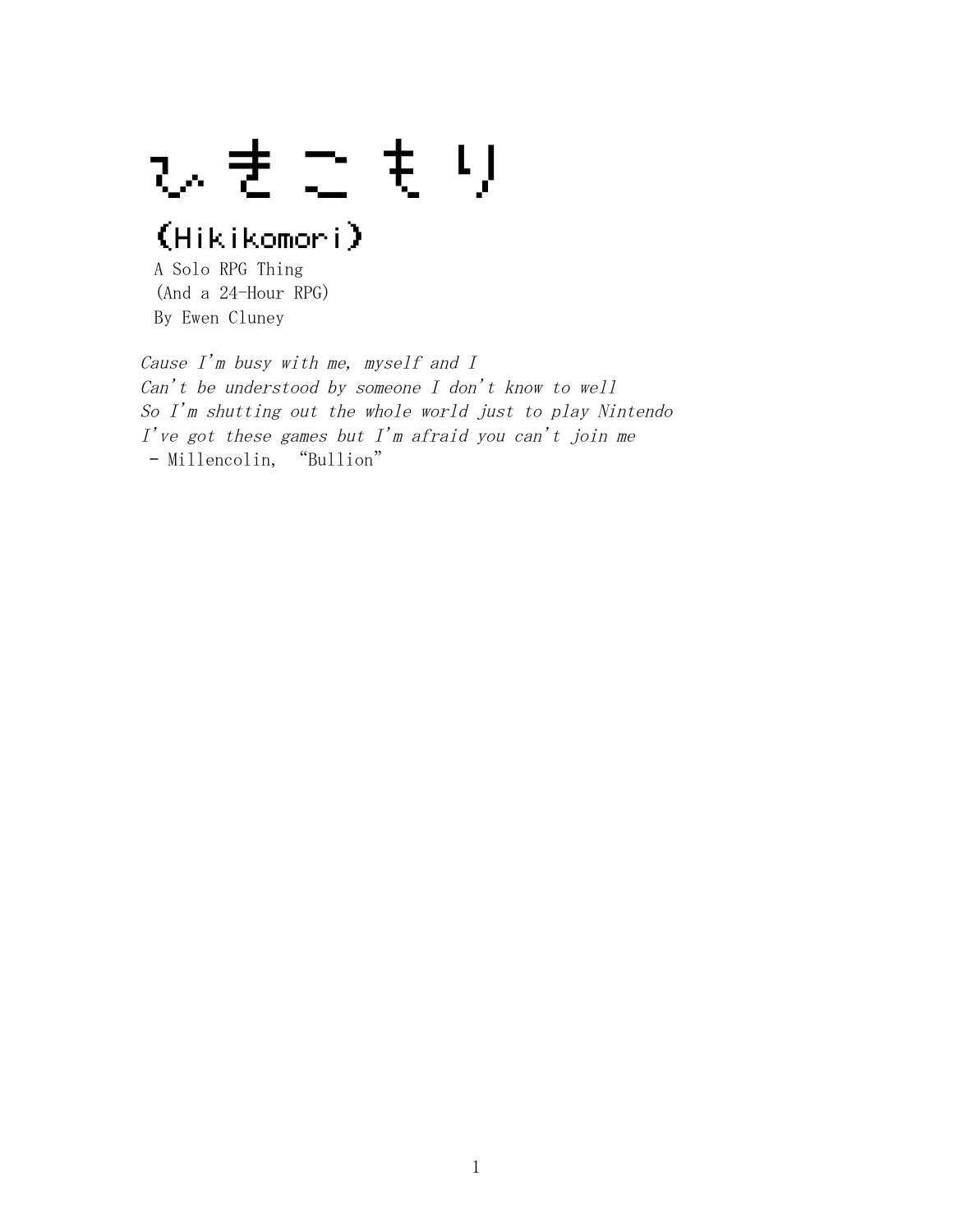ひきこもり

# (Hikikomori)

A Solo RPG Thing (And a 24-Hour RPG) By Ewen Cluney

Cause I'm busy with me, myself and I Can't be understood by someone  $I$  don't know to well So I'm shutting out the whole world just to play Nintendo  $I'$ ve got these games but  $I'm$  afraid you can't join me – Millencolin, "Bullion"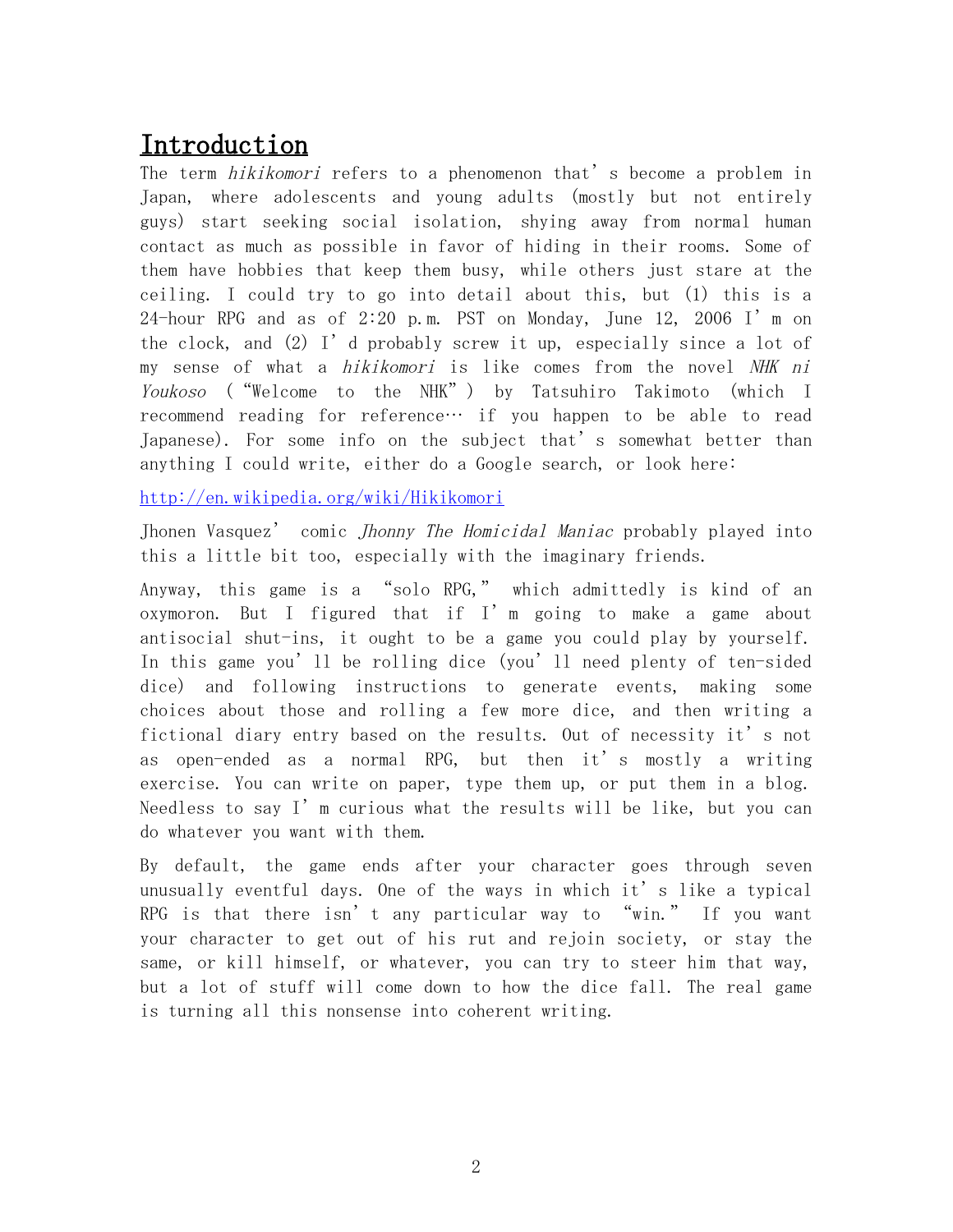## Introduction

The term *hikikomori* refers to a phenomenon that's become a problem in Japan, where adolescents and young adults (mostly but not entirely guys) start seeking social isolation, shying away from normal human contact as much as possible in favor of hiding in their rooms. Some of them have hobbies that keep them busy, while others just stare at the ceiling. I could try to go into detail about this, but (1) this is a 24-hour RPG and as of 2:20 p.m. PST on Monday, June 12, 2006 I'm on the clock, and  $(2)$  I'd probably screw it up, especially since a lot of my sense of what a *hikikomori* is like comes from the novel NHK ni Youkoso ("Welcome to the NHK") by Tatsuhiro Takimoto (which I recommend reading for reference… if you happen to be able to read Japanese). For some info on the subject that's somewhat better than anything I could write, either do a Google search, or look here:

<http://en.wikipedia.org/wiki/Hikikomori>

Jhonen Vasquez' comic Jhonny The Homicidal Maniac probably played into this a little bit too, especially with the imaginary friends.

Anyway, this game is a "solo RPG," which admittedly is kind of an oxymoron. But I figured that if I'm going to make a game about antisocial shut-ins, it ought to be a game you could play by yourself. In this game you'll be rolling dice (you'll need plenty of ten-sided dice) and following instructions to generate events, making some choices about those and rolling a few more dice, and then writing a fictional diary entry based on the results. Out of necessity it's not as open-ended as a normal RPG, but then it's mostly a writing exercise. You can write on paper, type them up, or put them in a blog. Needless to say  $I'$  m curious what the results will be like, but you can do whatever you want with them.

By default, the game ends after your character goes through seven unusually eventful days. One of the ways in which it's like a typical RPG is that there isn't any particular way to "win." If you want your character to get out of his rut and rejoin society, or stay the same, or kill himself, or whatever, you can try to steer him that way, but a lot of stuff will come down to how the dice fall. The real game is turning all this nonsense into coherent writing.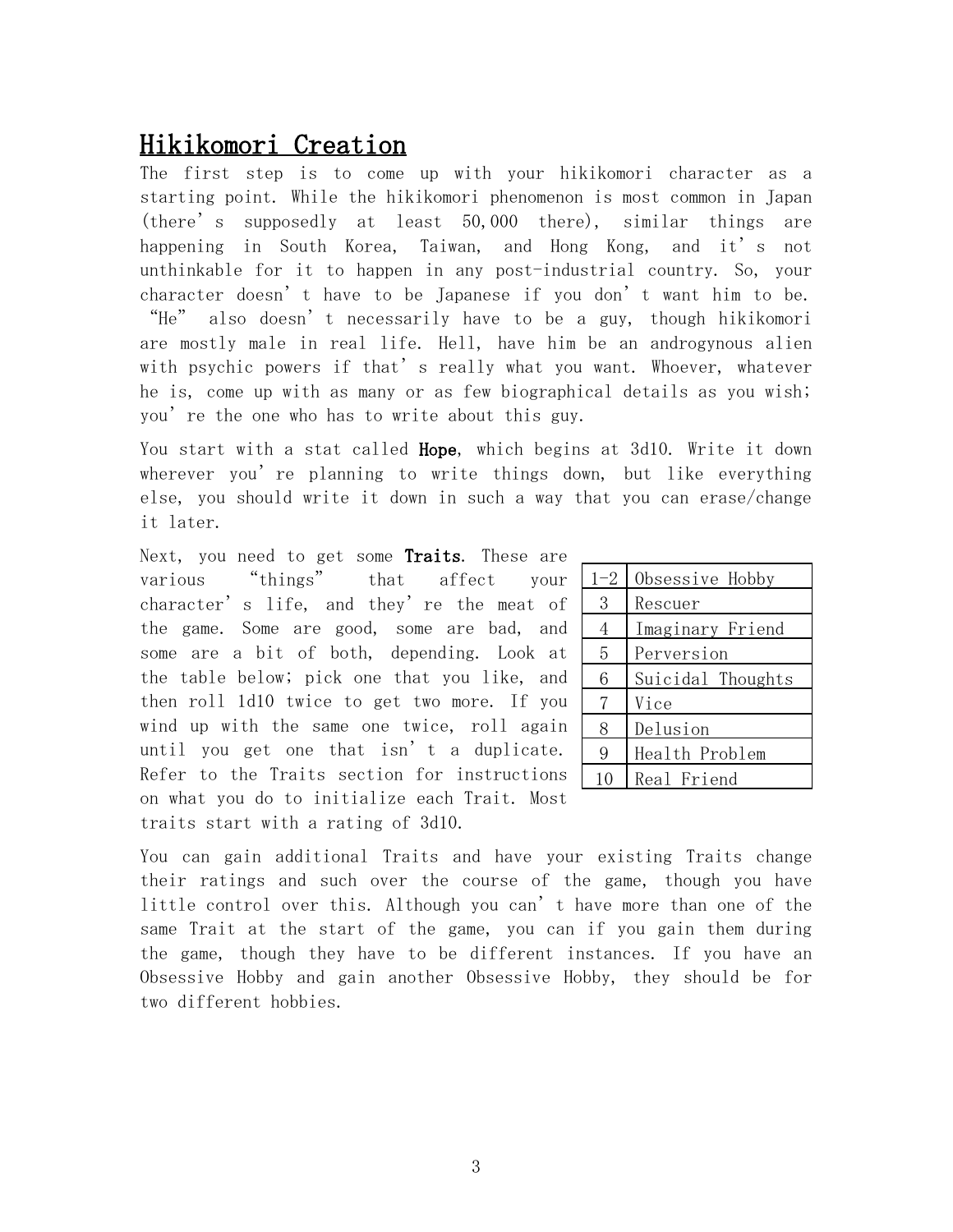## Hikikomori Creation

The first step is to come up with your hikikomori character as a starting point. While the hikikomori phenomenon is most common in Japan (there's supposedly at least 50,000 there), similar things are happening in South Korea, Taiwan, and Hong Kong, and it's not unthinkable for it to happen in any post-industrial country. So, your character doesn't have to be Japanese if you don't want him to be. "He" also doesn't necessarily have to be a guy, though hikikomori are mostly male in real life. Hell, have him be an androgynous alien with psychic powers if that's really what you want. Whoever, whatever he is, come up with as many or as few biographical details as you wish; you're the one who has to write about this guy.

You start with a stat called **Hope**, which begins at 3d10. Write it down wherever you're planning to write things down, but like everything else, you should write it down in such a way that you can erase/change it later.

Next, you need to get some Traits. These are various "things" that affect your character's life, and they're the meat of the game. Some are good, some are bad, and some are a bit of both, depending. Look at the table below; pick one that you like, and then roll 1d10 twice to get two more. If you wind up with the same one twice, roll again until you get one that isn't a duplicate. Refer to the Traits section for instructions on what you do to initialize each Trait. Most traits start with a rating of 3d10.

| $1 - 2$ | Obsessive Hobby   |
|---------|-------------------|
| 3       | Rescuer           |
| 4       | Imaginary Friend  |
| 5       | Perversion        |
| 6       | Suicidal Thoughts |
| 7       | Vice              |
| 8       | Delusion          |
| 9       | Health Problem    |
| 10      | Real Friend       |

You can gain additional Traits and have your existing Traits change their ratings and such over the course of the game, though you have little control over this. Although you can't have more than one of the same Trait at the start of the game, you can if you gain them during the game, though they have to be different instances. If you have an Obsessive Hobby and gain another Obsessive Hobby, they should be for two different hobbies.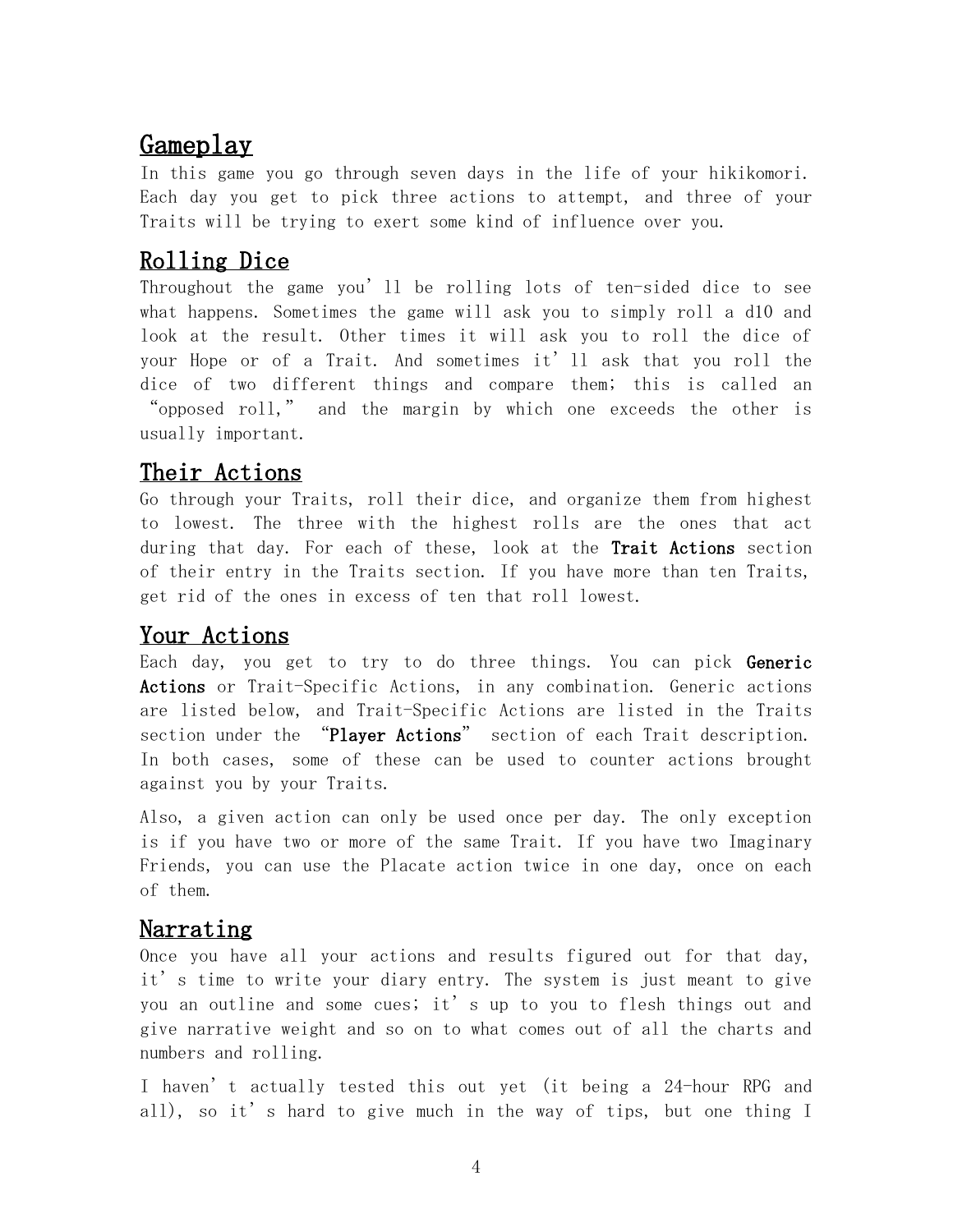## Gameplay

In this game you go through seven days in the life of your hikikomori. Each day you get to pick three actions to attempt, and three of your Traits will be trying to exert some kind of influence over you.

## Rolling Dice

Throughout the game you'll be rolling lots of ten-sided dice to see what happens. Sometimes the game will ask you to simply roll a d10 and look at the result. Other times it will ask you to roll the dice of your Hope or of a Trait. And sometimes it'll ask that you roll the dice of two different things and compare them; this is called an "opposed roll," and the margin by which one exceeds the other is usually important.

## Their Actions

Go through your Traits, roll their dice, and organize them from highest to lowest. The three with the highest rolls are the ones that act during that day. For each of these, look at the **Trait Actions** section of their entry in the Traits section. If you have more than ten Traits, get rid of the ones in excess of ten that roll lowest.

## Your Actions

Each day, you get to try to do three things. You can pick Generic Actions or Trait-Specific Actions, in any combination. Generic actions are listed below, and Trait-Specific Actions are listed in the Traits section under the "Player Actions" section of each Trait description. In both cases, some of these can be used to counter actions brought against you by your Traits.

Also, a given action can only be used once per day. The only exception is if you have two or more of the same Trait. If you have two Imaginary Friends, you can use the Placate action twice in one day, once on each of them.

### Narrating

Once you have all your actions and results figured out for that day, it's time to write your diary entry. The system is just meant to give you an outline and some cues; it's up to you to flesh things out and give narrative weight and so on to what comes out of all the charts and numbers and rolling.

I haven't actually tested this out yet (it being a 24-hour RPG and all), so it's hard to give much in the way of tips, but one thing I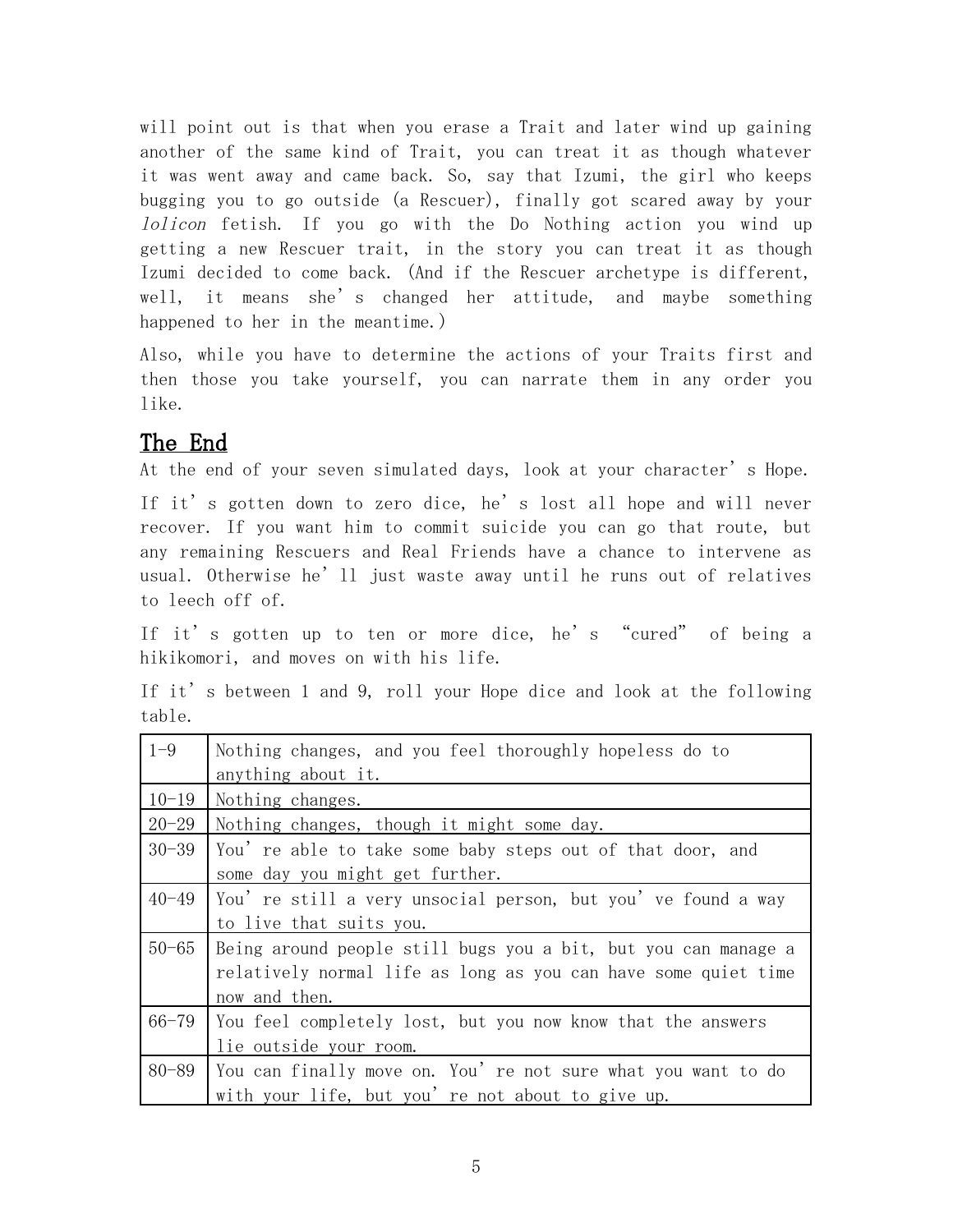will point out is that when you erase a Trait and later wind up gaining another of the same kind of Trait, you can treat it as though whatever it was went away and came back. So, say that Izumi, the girl who keeps bugging you to go outside (a Rescuer), finally got scared away by your lolicon fetish. If you go with the Do Nothing action you wind up getting a new Rescuer trait, in the story you can treat it as though Izumi decided to come back. (And if the Rescuer archetype is different, well, it means she's changed her attitude, and maybe something happened to her in the meantime.)

Also, while you have to determine the actions of your Traits first and then those you take yourself, you can narrate them in any order you like.

## The End

At the end of your seven simulated days, look at your character's Hope.

If it's gotten down to zero dice, he's lost all hope and will never recover. If you want him to commit suicide you can go that route, but any remaining Rescuers and Real Friends have a chance to intervene as usual. Otherwise he'll just waste away until he runs out of relatives to leech off of.

If it's gotten up to ten or more dice, he's "cured" of being a hikikomori, and moves on with his life.

If it's between 1 and 9, roll your Hope dice and look at the following table.

| $1 - 9$   | Nothing changes, and you feel thoroughly hopeless do to        |
|-----------|----------------------------------------------------------------|
|           | anything about it.                                             |
| $10 - 19$ | Nothing changes.                                               |
| $20 - 29$ | Nothing changes, though it might some day.                     |
| $30 - 39$ | You' re able to take some baby steps out of that door, and     |
|           | some day you might get further.                                |
| $40 - 49$ | You' re still a very unsocial person, but you' ve found a way  |
|           | to live that suits you.                                        |
| $50 - 65$ | Being around people still bugs you a bit, but you can manage a |
|           | relatively normal life as long as you can have some quiet time |
|           | now and then.                                                  |
| $66 - 79$ | You feel completely lost, but you now know that the answers    |
|           | lie outside your room.                                         |
| 80-89     | You can finally move on. You're not sure what you want to do   |
|           | with your life, but you' re not about to give up.              |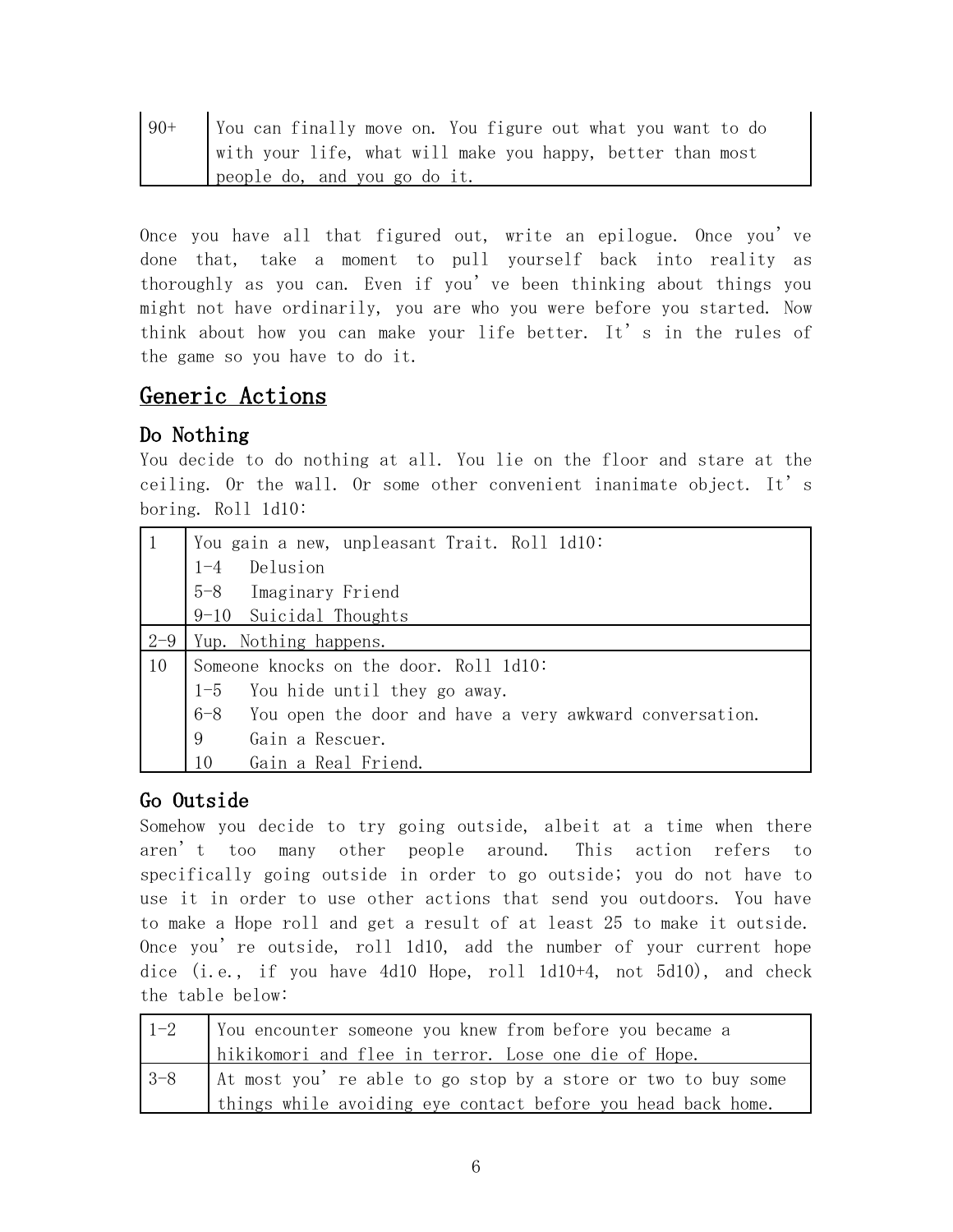| $90+$ | You can finally move on. You figure out what you want to do |
|-------|-------------------------------------------------------------|
|       | with your life, what will make you happy, better than most  |
|       | people do, and you go do it.                                |

Once you have all that figured out, write an epilogue. Once you've done that, take a moment to pull yourself back into reality as thoroughly as you can. Even if you've been thinking about things you might not have ordinarily, you are who you were before you started. Now think about how you can make your life better. It's in the rules of the game so you have to do it.

## Generic Actions

### Do Nothing

You decide to do nothing at all. You lie on the floor and stare at the ceiling. Or the wall. Or some other convenient inanimate object. It's boring. Roll 1d10:

|         | You gain a new, unpleasant Trait. Roll 1d10:                  |
|---------|---------------------------------------------------------------|
|         | Delusion<br>$1 - 4$                                           |
|         | 5-8 Imaginary Friend                                          |
|         | 9-10 Suicidal Thoughts                                        |
| $2 - 9$ | Yup. Nothing happens.                                         |
| 10      | Someone knocks on the door. Roll 1d10:                        |
|         | 1-5 You hide until they go away.                              |
|         | $6-8$ You open the door and have a very awkward conversation. |
|         | 9<br>Gain a Rescuer.                                          |
|         | 10<br>Gain a Real Friend.                                     |

#### Go Outside

Somehow you decide to try going outside, albeit at a time when there aren't too many other people around. This action refers to specifically going outside in order to go outside; you do not have to use it in order to use other actions that send you outdoors. You have to make a Hope roll and get a result of at least 25 to make it outside. Once you're outside, roll 1d10, add the number of your current hope dice (i.e., if you have 4d10 Hope, roll 1d10+4, not 5d10), and check the table below:

| $1-2$   | Vou encounter someone you knew from before you became a      |
|---------|--------------------------------------------------------------|
|         | hikikomori and flee in terror. Lose one die of Hope.         |
| $ 3-8 $ | At most you're able to go stop by a store or two to buy some |
|         | things while avoiding eye contact before you head back home. |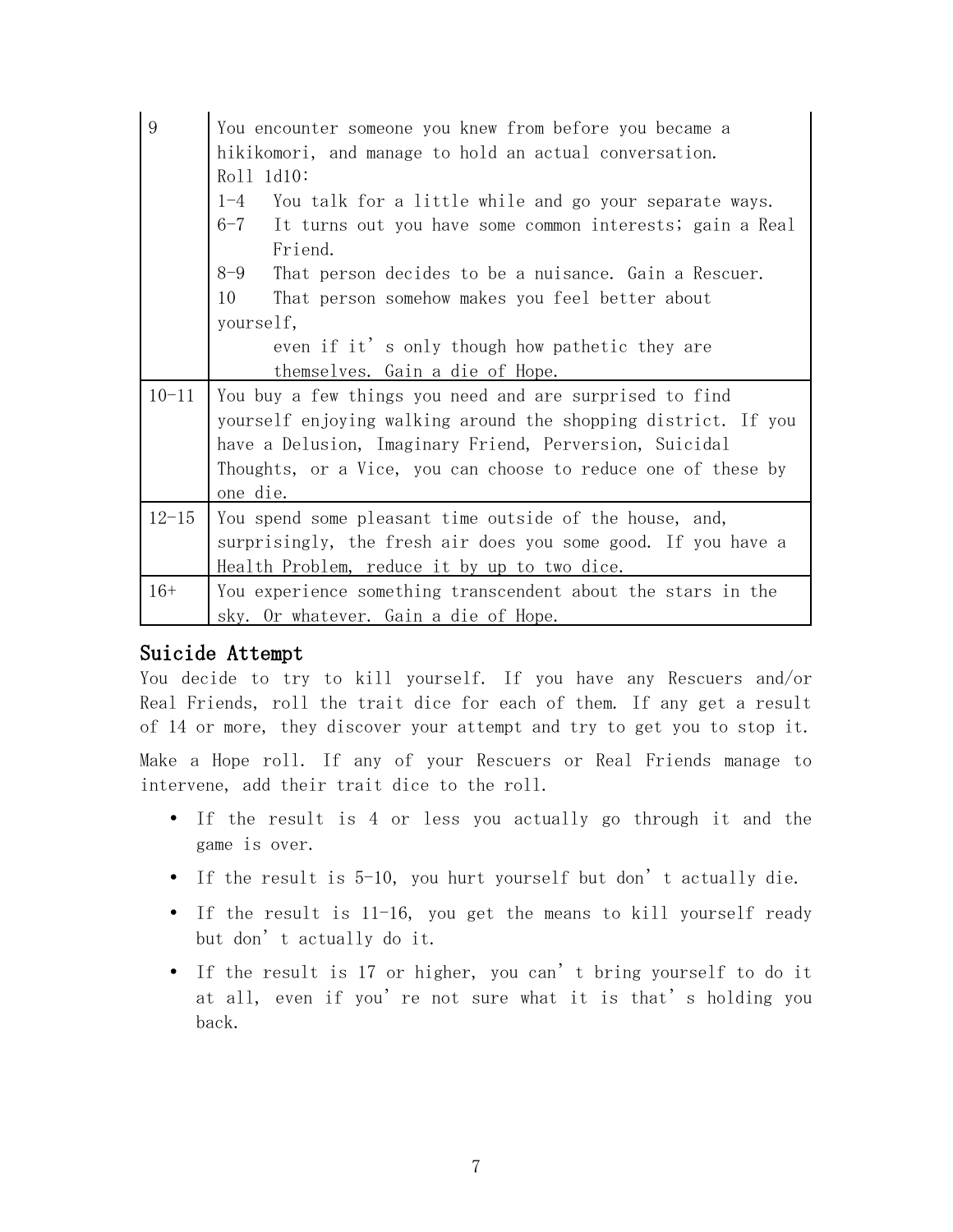| 9         | You encounter someone you knew from before you became a             |
|-----------|---------------------------------------------------------------------|
|           | hikikomori, and manage to hold an actual conversation.              |
|           | Roll 1d10:                                                          |
|           | You talk for a little while and go your separate ways.<br>$1 - 4$   |
|           | $6 - 7$<br>It turns out you have some common interests; gain a Real |
|           | Friend.                                                             |
|           | $8 - 9$<br>That person decides to be a nuisance. Gain a Rescuer.    |
|           | 10<br>That person somehow makes you feel better about               |
|           | yourself,                                                           |
|           | even if it's only though how pathetic they are                      |
|           | themselves. Gain a die of Hope.                                     |
| $10 - 11$ | You buy a few things you need and are surprised to find             |
|           | yourself enjoying walking around the shopping district. If you      |
|           | have a Delusion, Imaginary Friend, Perversion, Suicidal             |
|           | Thoughts, or a Vice, you can choose to reduce one of these by       |
|           | one die.                                                            |
| $12 - 15$ | You spend some pleasant time outside of the house, and,             |
|           | surprisingly, the fresh air does you some good. If you have a       |
|           | Health Problem, reduce it by up to two dice.                        |
| $16+$     | You experience something transcendent about the stars in the        |
|           | sky. Or whatever. Gain a die of Hope.                               |

#### Suicide Attempt

You decide to try to kill yourself. If you have any Rescuers and/or Real Friends, roll the trait dice for each of them. If any get a result of 14 or more, they discover your attempt and try to get you to stop it. Make a Hope roll. If any of your Rescuers or Real Friends manage to intervene, add their trait dice to the roll.

- If the result is 4 or less you actually go through it and the game is over.
- If the result is 5-10, you hurt yourself but don't actually die.
- If the result is 11-16, you get the means to kill yourself ready but don't actually do it.
- If the result is 17 or higher, you can't bring yourself to do it at all, even if you're not sure what it is that's holding you back.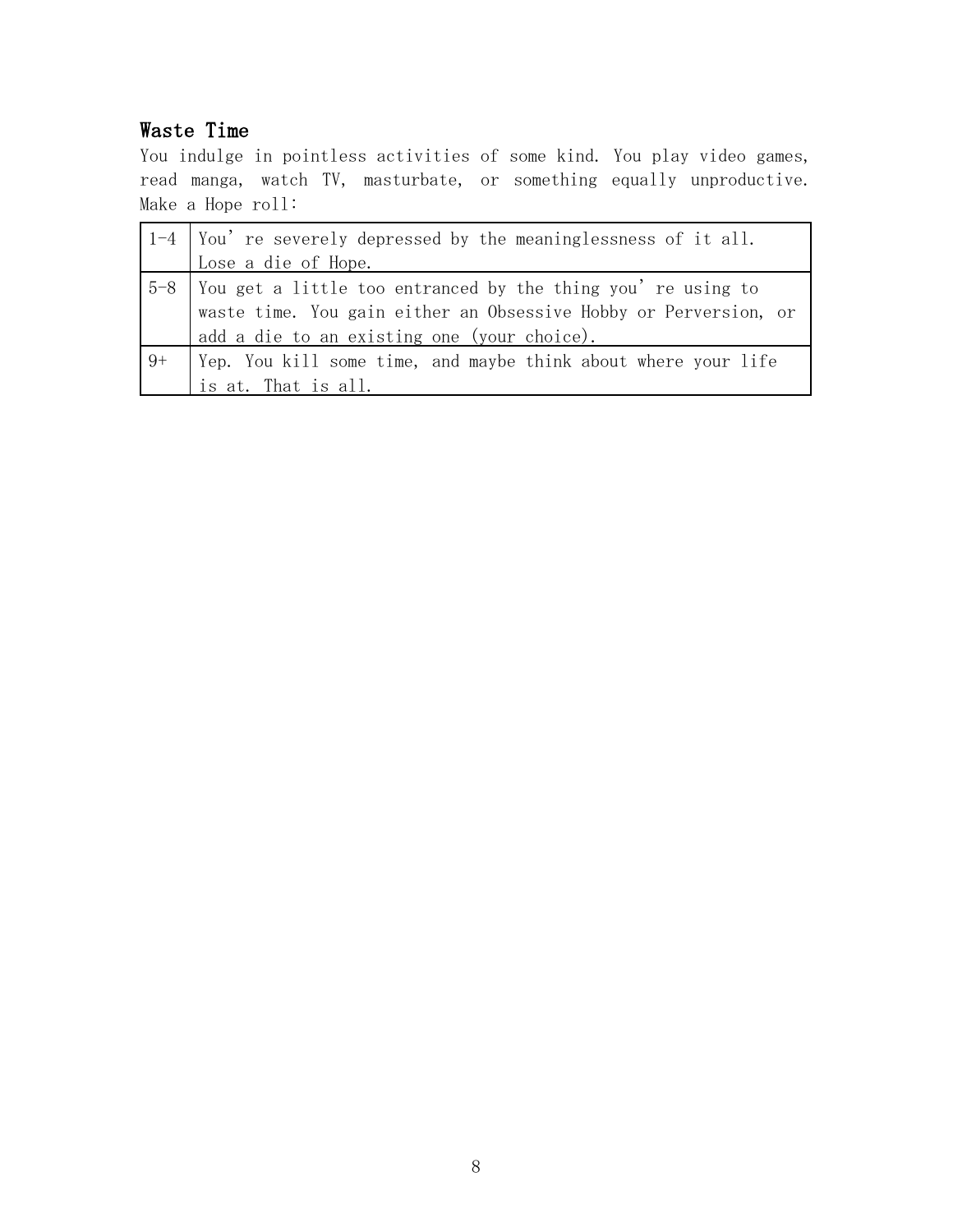### Waste Time

You indulge in pointless activities of some kind. You play video games, read manga, watch TV, masturbate, or something equally unproductive. Make a Hope roll:

|    | $\vert$ 1-4 $\vert$ You' re severely depressed by the meaninglessness of it all. |
|----|----------------------------------------------------------------------------------|
|    | Lose a die of Hope.                                                              |
|    | 5-8   You get a little too entranced by the thing you're using to                |
|    | waste time. You gain either an Obsessive Hobby or Perversion, or                 |
|    | add a die to an existing one (your choice).                                      |
| 9+ | Yep. You kill some time, and maybe think about where your life                   |
|    | is at. That is all.                                                              |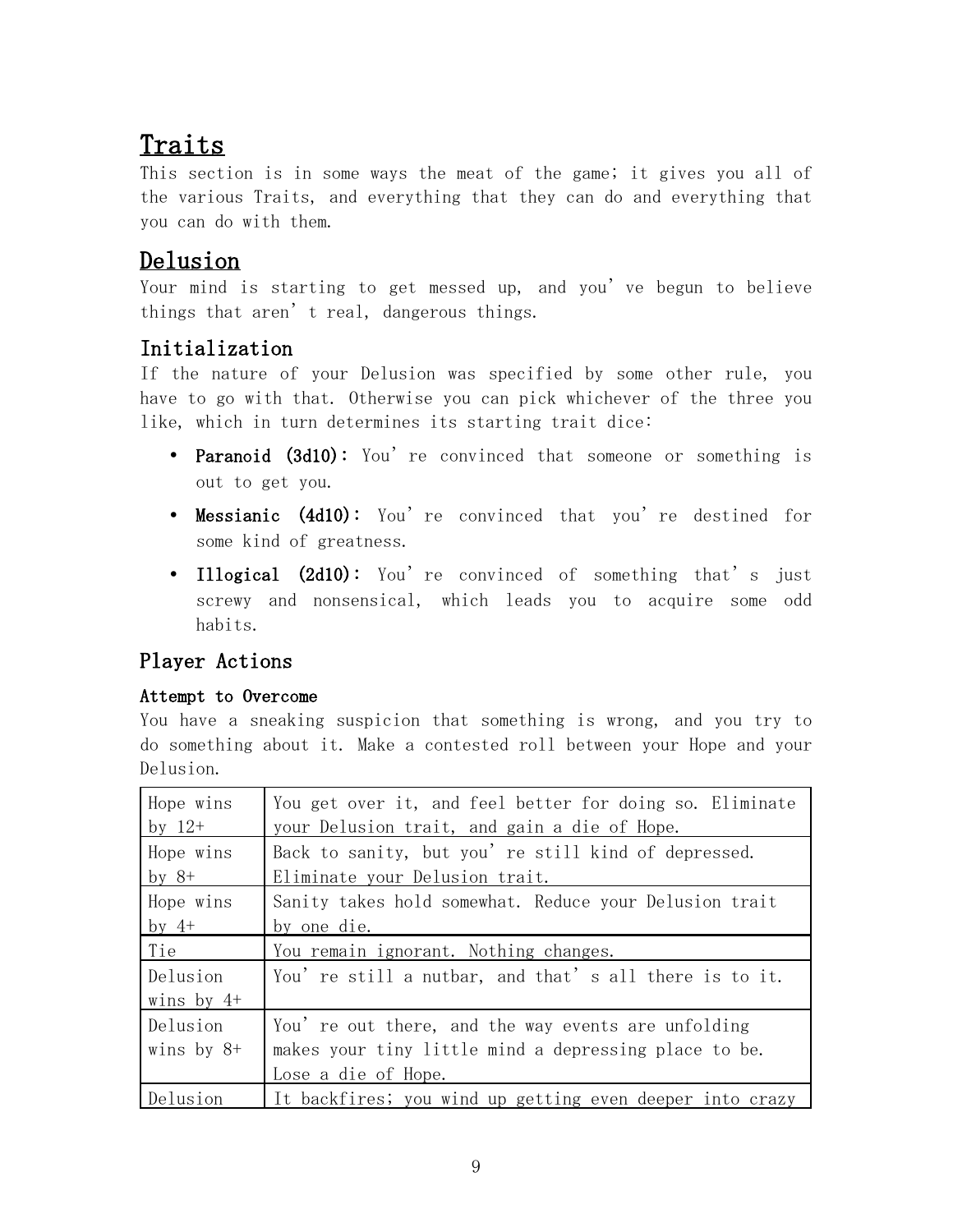# Traits

This section is in some ways the meat of the game; it gives you all of the various Traits, and everything that they can do and everything that you can do with them.

## Delusion

Your mind is starting to get messed up, and you've begun to believe things that aren't real, dangerous things.

## Initialization

If the nature of your Delusion was specified by some other rule, you have to go with that. Otherwise you can pick whichever of the three you like, which in turn determines its starting trait dice:

- Paranoid (3d10): You're convinced that someone or something is out to get you.
- Messianic (4d10): You're convinced that you're destined for some kind of greatness.
- Illogical (2d10): You're convinced of something that's just screwy and nonsensical, which leads you to acquire some odd habits.

## Player Actions

#### Attempt to Overcome

You have a sneaking suspicion that something is wrong, and you try to do something about it. Make a contested roll between your Hope and your Delusion.

| Hope wins<br>by $12+$    | You get over it, and feel better for doing so. Eliminate<br>your Delusion trait, and gain a die of Hope.                            |
|--------------------------|-------------------------------------------------------------------------------------------------------------------------------------|
| Hope wins<br>by $8+$     | Back to sanity, but you' re still kind of depressed.<br>Eliminate your Delusion trait.                                              |
| Hope wins<br>by $4+$     | Sanity takes hold somewhat. Reduce your Delusion trait<br>by one die.                                                               |
| Tie                      | You remain ignorant. Nothing changes.                                                                                               |
| Delusion<br>wins by $4+$ | You're still a nutbar, and that's all there is to it.                                                                               |
| Delusion<br>wins by $8+$ | You' re out there, and the way events are unfolding<br>makes your tiny little mind a depressing place to be.<br>Lose a die of Hope. |
| Delusion                 | It backfires; you wind up getting even deeper into crazy                                                                            |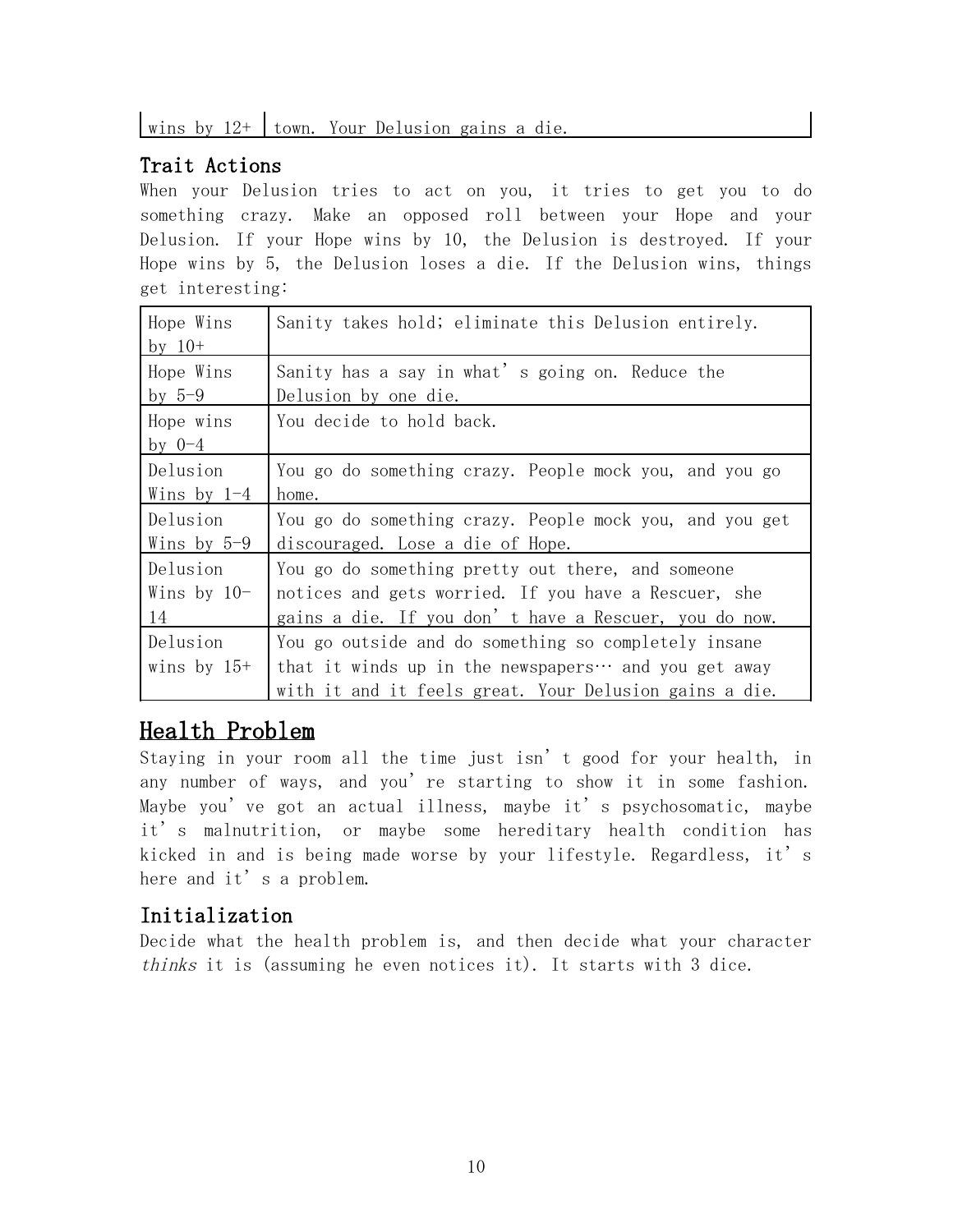## Trait Actions

When your Delusion tries to act on you, it tries to get you to do something crazy. Make an opposed roll between your Hope and your Delusion. If your Hope wins by 10, the Delusion is destroyed. If your Hope wins by 5, the Delusion loses a die. If the Delusion wins, things get interesting:

| Hope Wins     | Sanity takes hold; eliminate this Delusion entirely.         |
|---------------|--------------------------------------------------------------|
| by $10+$      |                                                              |
| Hope Wins     | Sanity has a say in what's going on. Reduce the              |
| by $5-9$      | Delusion by one die.                                         |
| Hope wins     | You decide to hold back.                                     |
| by $0-4$      |                                                              |
| Delusion      | You go do something crazy. People mock you, and you go       |
| Wins by $1-4$ | home.                                                        |
| Delusion      | You go do something crazy. People mock you, and you get      |
| Wins by $5-9$ | discouraged. Lose a die of Hope.                             |
| Delusion      | You go do something pretty out there, and someone            |
| Wins by $10-$ | notices and gets worried. If you have a Rescuer, she         |
| 14            | gains a die. If you don't have a Rescuer, you do now.        |
| Delusion      | You go outside and do something so completely insane         |
| wins by $15+$ | that it winds up in the newspapers $\cdots$ and you get away |
|               | with it and it feels great. Your Delusion gains a die.       |

## Health Problem

Staying in your room all the time just isn't good for your health, in any number of ways, and you're starting to show it in some fashion. Maybe you've got an actual illness, maybe it's psychosomatic, maybe it's malnutrition, or maybe some hereditary health condition has kicked in and is being made worse by your lifestyle. Regardless, it's here and it's a problem.

### Initialization

Decide what the health problem is, and then decide what your character thinks it is (assuming he even notices it). It starts with 3 dice.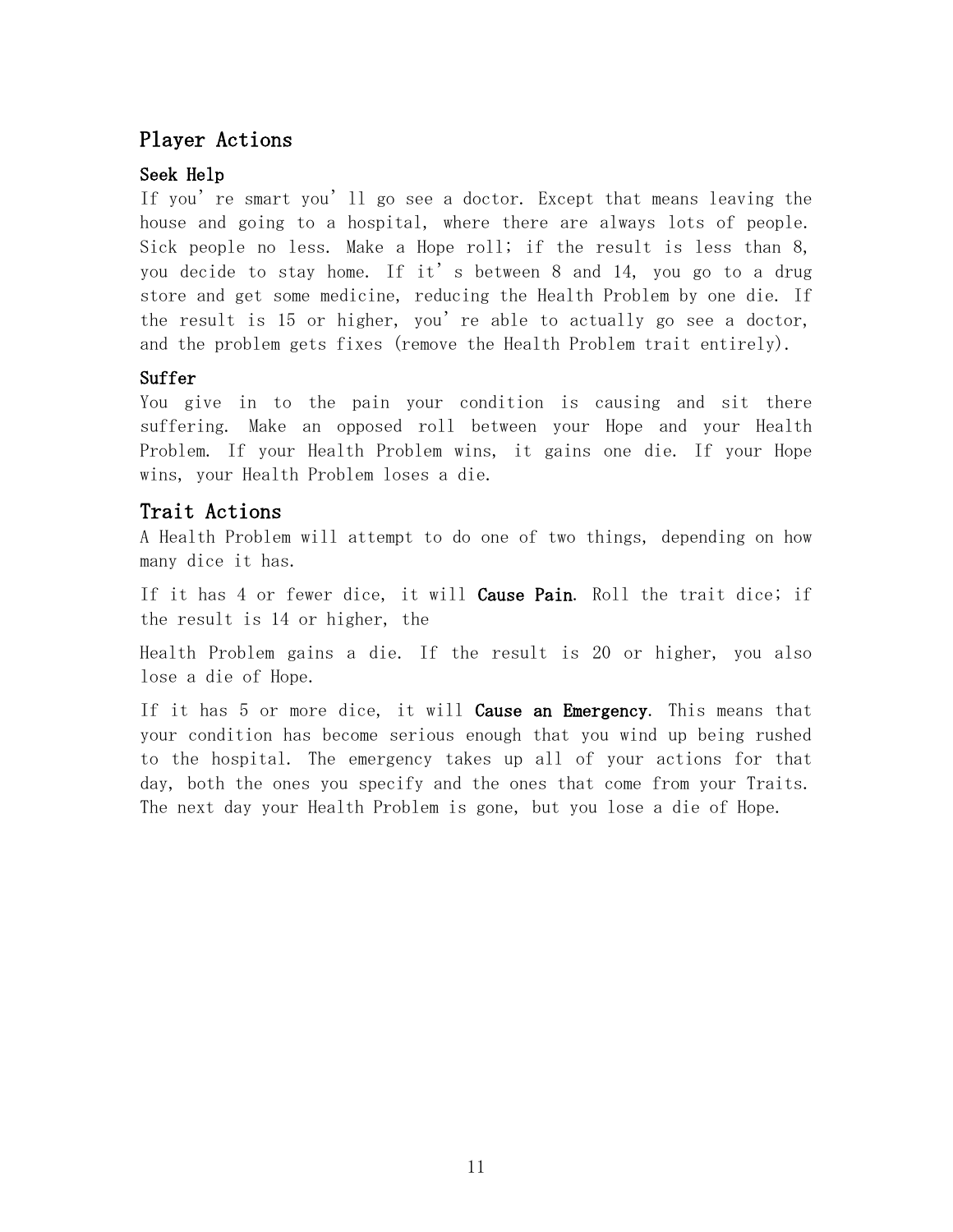### Player Actions

#### Seek Help

If you're smart you'll go see a doctor. Except that means leaving the house and going to a hospital, where there are always lots of people. Sick people no less. Make a Hope roll; if the result is less than 8, you decide to stay home. If it's between 8 and 14, you go to a drug store and get some medicine, reducing the Health Problem by one die. If the result is 15 or higher, you're able to actually go see a doctor, and the problem gets fixes (remove the Health Problem trait entirely).

#### Suffer

You give in to the pain your condition is causing and sit there suffering. Make an opposed roll between your Hope and your Health Problem. If your Health Problem wins, it gains one die. If your Hope wins, your Health Problem loses a die.

#### Trait Actions

A Health Problem will attempt to do one of two things, depending on how many dice it has.

If it has 4 or fewer dice, it will **Cause Pain**. Roll the trait dice; if the result is 14 or higher, the

Health Problem gains a die. If the result is 20 or higher, you also lose a die of Hope.

If it has 5 or more dice, it will **Cause an Emergency**. This means that your condition has become serious enough that you wind up being rushed to the hospital. The emergency takes up all of your actions for that day, both the ones you specify and the ones that come from your Traits. The next day your Health Problem is gone, but you lose a die of Hope.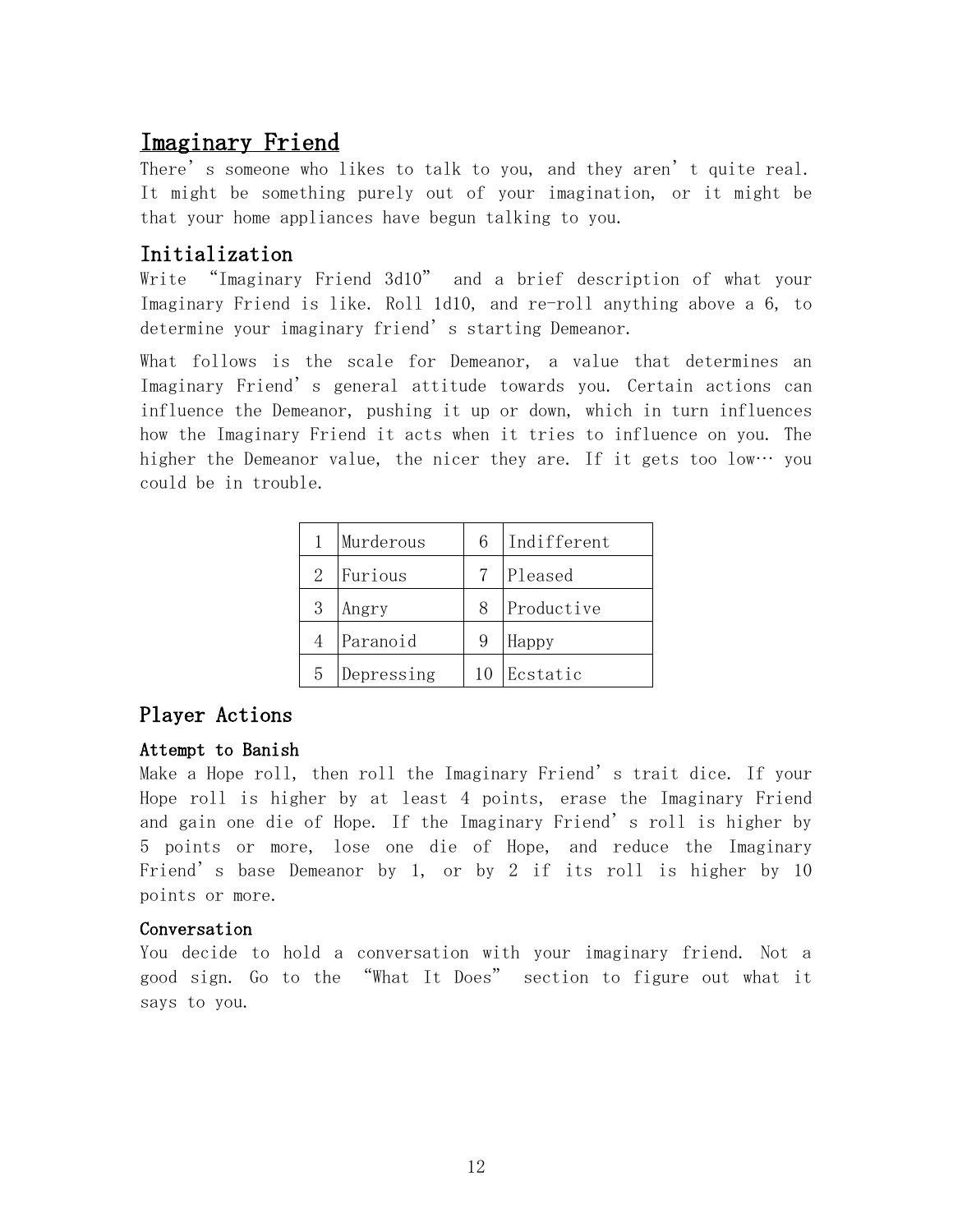## Imaginary Friend

There's someone who likes to talk to you, and they aren't quite real. It might be something purely out of your imagination, or it might be that your home appliances have begun talking to you.

### Initialization

Write "Imaginary Friend 3d10" and a brief description of what your Imaginary Friend is like. Roll 1d10, and re-roll anything above a 6, to determine your imaginary friend's starting Demeanor.

What follows is the scale for Demeanor, a value that determines an Imaginary Friend's general attitude towards you. Certain actions can influence the Demeanor, pushing it up or down, which in turn influences how the Imaginary Friend it acts when it tries to influence on you. The higher the Demeanor value, the nicer they are. If it gets too low… you could be in trouble.

|   | Murderous  | 6  | Indifferent |
|---|------------|----|-------------|
| 2 | Furious    |    | Pleased     |
| 3 | Angry      | 8  | Productive  |
|   | Paranoid   | 9  | Happy       |
| 5 | Depressing | 10 | Ecstatic    |

#### Player Actions

#### Attempt to Banish

Make a Hope roll, then roll the Imaginary Friend's trait dice. If your Hope roll is higher by at least 4 points, erase the Imaginary Friend and gain one die of Hope. If the Imaginary Friend's roll is higher by 5 points or more, lose one die of Hope, and reduce the Imaginary Friend's base Demeanor by 1, or by 2 if its roll is higher by 10 points or more.

#### Conversation

You decide to hold a conversation with your imaginary friend. Not a good sign. Go to the "What It Does" section to figure out what it says to you.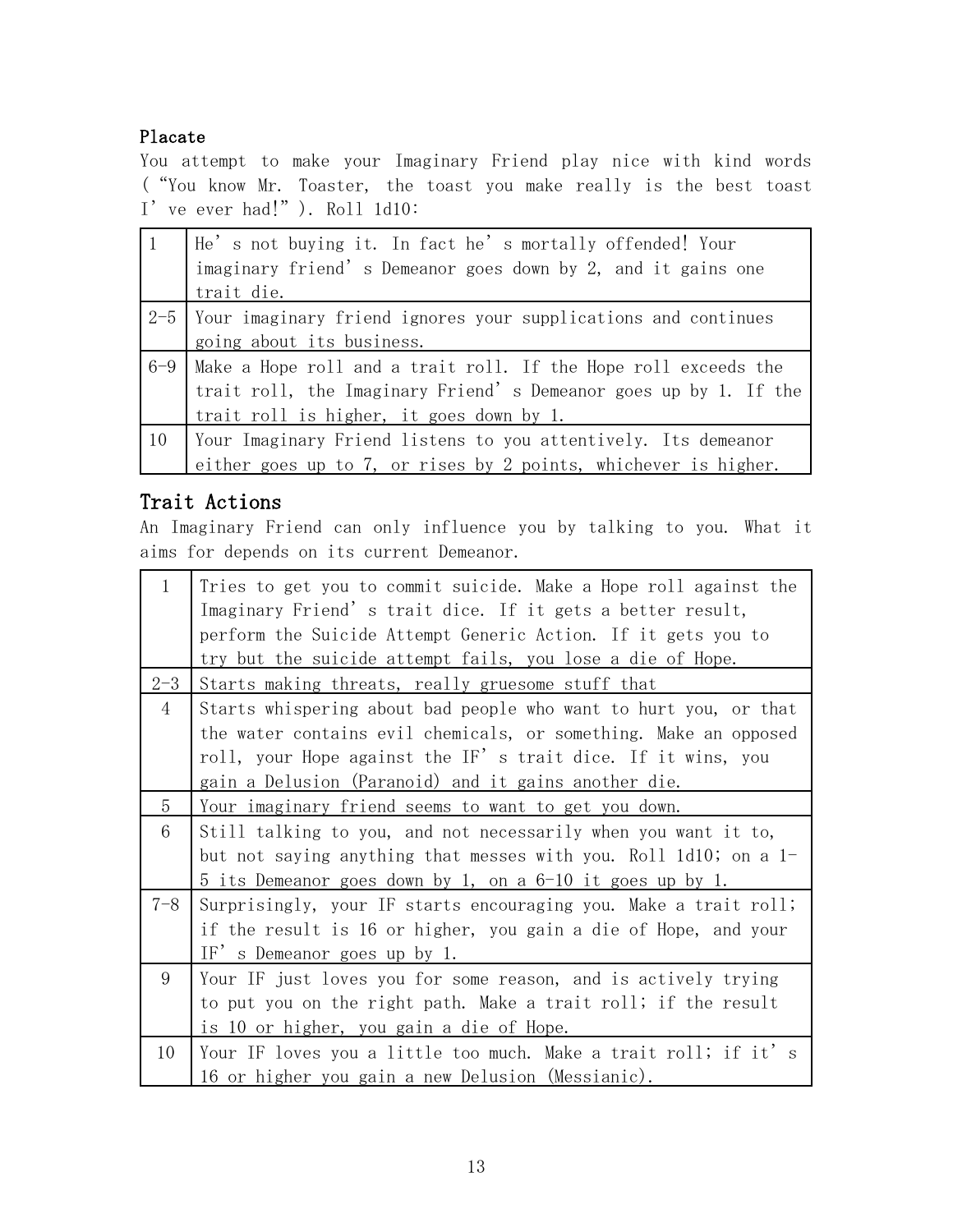#### Placate

You attempt to make your Imaginary Friend play nice with kind words ("You know Mr. Toaster, the toast you make really is the best toast I've ever had!"). Roll 1d10:

| $\vert$ 1 | He's not buying it. In fact he's mortally offended! Your              |
|-----------|-----------------------------------------------------------------------|
|           | imaginary friend's Demeanor goes down by 2, and it gains one          |
|           | trait die.                                                            |
|           | $2-5$ Your imaginary friend ignores your supplications and continues  |
|           | going about its business.                                             |
|           | 6-9   Make a Hope roll and a trait roll. If the Hope roll exceeds the |
|           | trait roll, the Imaginary Friend's Demeanor goes up by 1. If the      |
|           | trait roll is higher, it goes down by 1.                              |
| 10        | Your Imaginary Friend listens to you attentively. Its demeanor        |
|           | either goes up to 7, or rises by 2 points, whichever is higher.       |

### Trait Actions

An Imaginary Friend can only influence you by talking to you. What it aims for depends on its current Demeanor.

| $\mathbf{1}$ | Tries to get you to commit suicide. Make a Hope roll against the |
|--------------|------------------------------------------------------------------|
|              | Imaginary Friend's trait dice. If it gets a better result,       |
|              | perform the Suicide Attempt Generic Action. If it gets you to    |
|              | try but the suicide attempt fails, you lose a die of Hope.       |
| $2 - 3$      | Starts making threats, really gruesome stuff that                |
| 4            | Starts whispering about bad people who want to hurt you, or that |
|              | the water contains evil chemicals, or something. Make an opposed |
|              | roll, your Hope against the IF's trait dice. If it wins, you     |
|              | gain a Delusion (Paranoid) and it gains another die.             |
| 5            | <u>Your imaginary friend seems to want to get you down.</u>      |
| 6            | Still talking to you, and not necessarily when you want it to,   |
|              | but not saying anything that messes with you. Roll 1d10; on a 1- |
|              | 5 its Demeanor goes down by 1, on a 6-10 it goes up by 1.        |
| $7 - 8$      | Surprisingly, your IF starts encouraging you. Make a trait roll; |
|              | if the result is 16 or higher, you gain a die of Hope, and your  |
|              | IF's Demeanor goes up by 1.                                      |
| 9            | Your IF just loves you for some reason, and is actively trying   |
|              | to put you on the right path. Make a trait roll; if the result   |
|              | is 10 or higher, you gain a die of Hope.                         |
| 10           | Your IF loves you a little too much. Make a trait roll; if it's  |
|              | 16 or higher you gain a new Delusion (Messianic).                |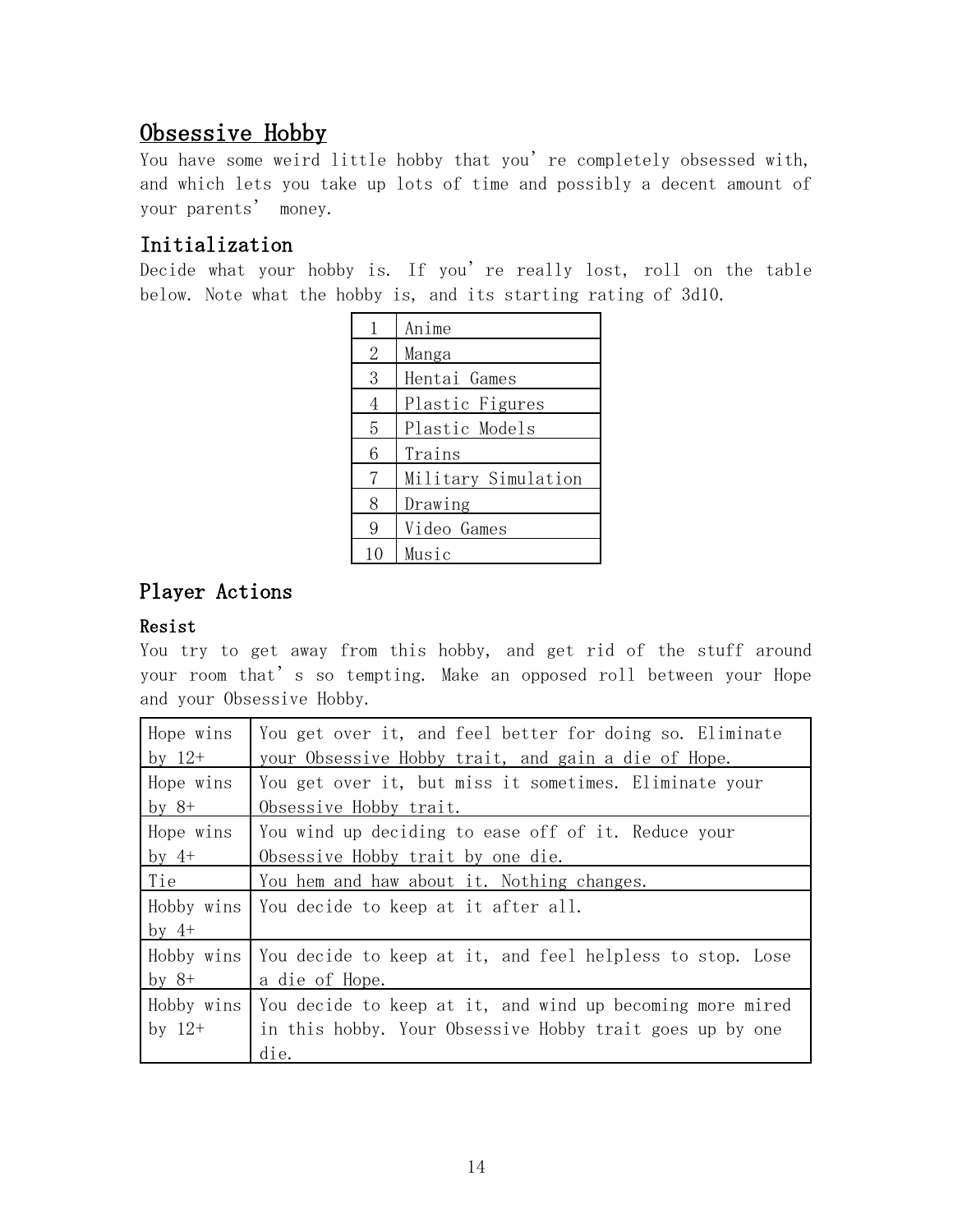## Obsessive Hobby

You have some weird little hobby that you're completely obsessed with, and which lets you take up lots of time and possibly a decent amount of your parents' money.

### Initialization

Decide what your hobby is. If you're really lost, roll on the table below. Note what the hobby is, and its starting rating of 3d10.

| $\mathbf{1}$   | Anime               |
|----------------|---------------------|
| 2              | Manga               |
| 3              | Hentai Games        |
| 4              | Plastic Figures     |
| 5              | Plastic Models      |
| 6              | Trains              |
| $\overline{7}$ | Military Simulation |
| 8              | Drawing             |
| 9              | Video Games         |
| 10             | Music               |

### Player Actions

#### Resist

You try to get away from this hobby, and get rid of the stuff around your room that's so tempting. Make an opposed roll between your Hope and your Obsessive Hobby.

| Hope wins  | You get over it, and feel better for doing so. Eliminate  |
|------------|-----------------------------------------------------------|
| by $12+$   | your Obsessive Hobby trait, and gain a die of Hope.       |
| Hope wins  | You get over it, but miss it sometimes. Eliminate your    |
| by $8+$    | Obsessive Hobby trait.                                    |
| Hope wins  | You wind up deciding to ease off of it. Reduce your       |
| by $4+$    | Obsessive Hobby trait by one die.                         |
| Tie        | You hem and haw about it. Nothing changes.                |
| Hobby wins | You decide to keep at it after all.                       |
| by $4+$    |                                                           |
| Hobby wins | You decide to keep at it, and feel helpless to stop. Lose |
| by $8+$    | a die of Hope.                                            |
| Hobby wins | You decide to keep at it, and wind up becoming more mired |
| by $12+$   | in this hobby. Your Obsessive Hobby trait goes up by one  |
|            | die.                                                      |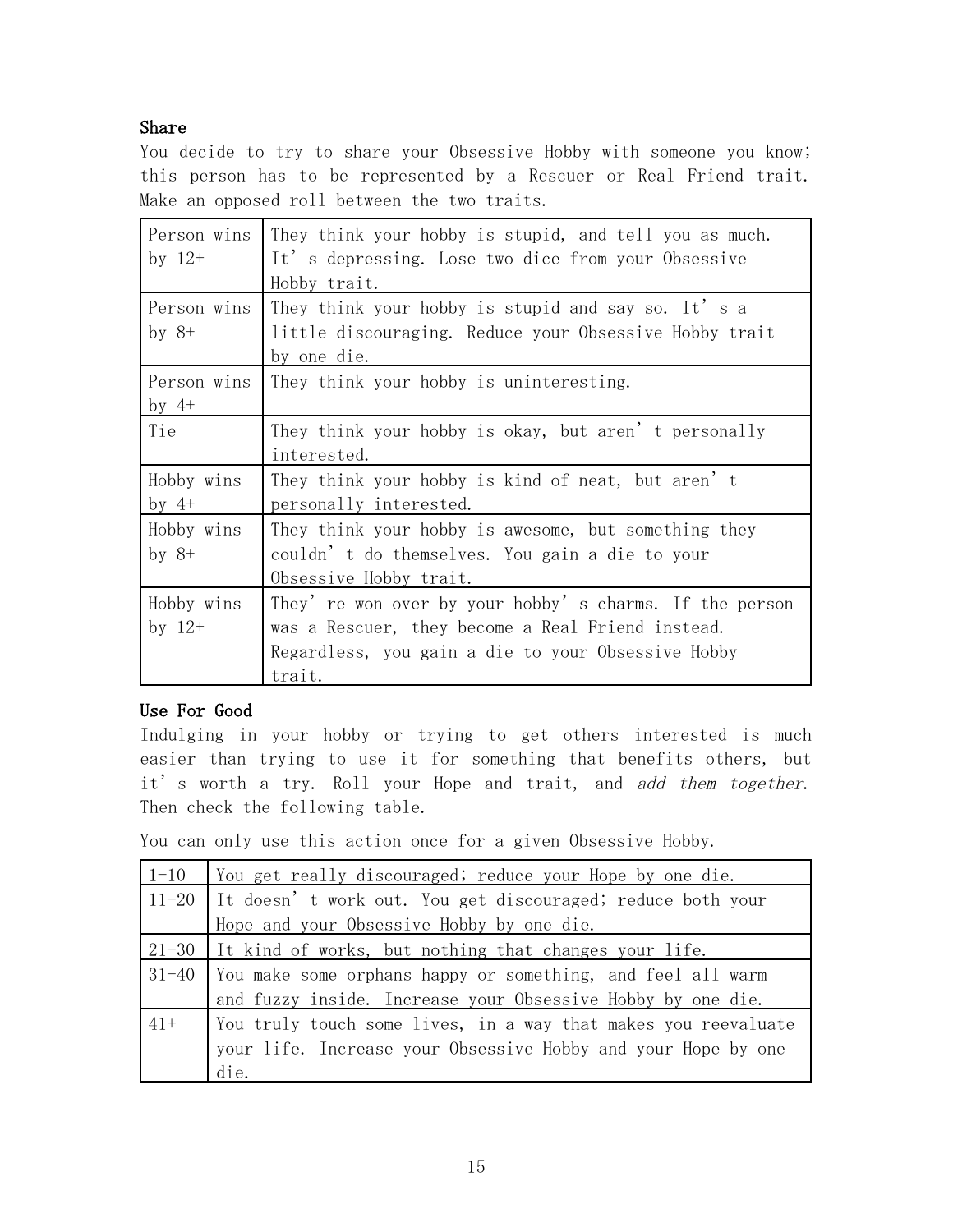#### Share

You decide to try to share your Obsessive Hobby with someone you know; this person has to be represented by a Rescuer or Real Friend trait. Make an opposed roll between the two traits.

| Person wins<br>by $12+$ | They think your hobby is stupid, and tell you as much.<br>It's depressing. Lose two dice from your Obsessive<br>Hobby trait.                                                 |
|-------------------------|------------------------------------------------------------------------------------------------------------------------------------------------------------------------------|
| Person wins<br>by $8+$  | They think your hobby is stupid and say so. It's a<br>little discouraging. Reduce your Obsessive Hobby trait<br>by one die.                                                  |
| Person wins<br>by $4+$  | They think your hobby is uninteresting.                                                                                                                                      |
| Tie                     | They think your hobby is okay, but aren't personally<br>interested.                                                                                                          |
| Hobby wins<br>by $4+$   | They think your hobby is kind of neat, but aren't<br>personally interested.                                                                                                  |
| Hobby wins<br>$by 8+$   | They think your hobby is awesome, but something they<br>couldn't do themselves. You gain a die to your<br>Obsessive Hobby trait.                                             |
| Hobby wins<br>by $12+$  | They' re won over by your hobby's charms. If the person<br>was a Rescuer, they become a Real Friend instead.<br>Regardless, you gain a die to your Obsessive Hobby<br>trait. |

#### Use For Good

Indulging in your hobby or trying to get others interested is much easier than trying to use it for something that benefits others, but it's worth a try. Roll your Hope and trait, and add them together. Then check the following table.

You can only use this action once for a given Obsessive Hobby.

| $1 - 10$ | You get really discouraged; reduce your Hope by one die.           |
|----------|--------------------------------------------------------------------|
|          | 11-20   It doesn't work out. You get discouraged; reduce both your |
|          | Hope and your Obsessive Hobby by one die.                          |
|          | $21-30$ It kind of works, but nothing that changes your life.      |
|          | 31-40 You make some orphans happy or something, and feel all warm  |
|          | and fuzzy inside. Increase your Obsessive Hobby by one die.        |
| $41+$    | You truly touch some lives, in a way that makes you reevaluate     |
|          | your life. Increase your Obsessive Hobby and your Hope by one      |
|          | die.                                                               |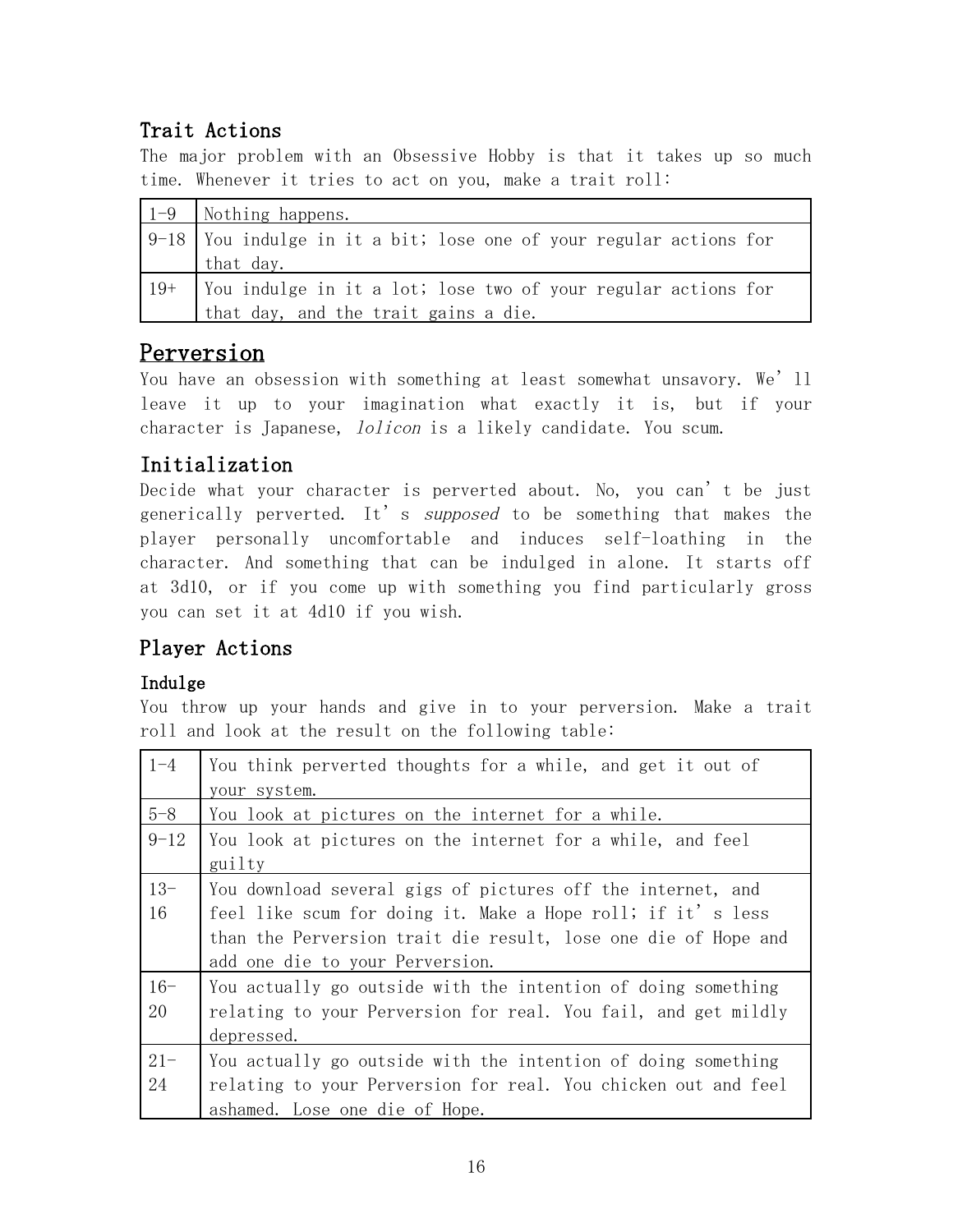## Trait Actions

The major problem with an Obsessive Hobby is that it takes up so much time. Whenever it tries to act on you, make a trait roll:

|       | $\vert$ 1-9 $\vert$ Nothing happens.                                   |
|-------|------------------------------------------------------------------------|
|       | $ 9-18 $ You indulge in it a bit; lose one of your regular actions for |
|       | that day.                                                              |
| $19+$ | You indulge in it a lot; lose two of your regular actions for          |
|       | that day, and the trait gains a die.                                   |

## Perversion

You have an obsession with something at least somewhat unsavory. We'll leave it up to your imagination what exactly it is, but if your character is Japanese, *lolicon* is a likely candidate. You scum.

### Initialization

Decide what your character is perverted about. No, you can't be just generically perverted. It's *supposed* to be something that makes the player personally uncomfortable and induces self-loathing in the character. And something that can be indulged in alone. It starts off at 3d10, or if you come up with something you find particularly gross you can set it at 4d10 if you wish.

## Player Actions

### Indulge

You throw up your hands and give in to your perversion. Make a trait roll and look at the result on the following table:

| $1 - 4$  | You think perverted thoughts for a while, and get it out of    |
|----------|----------------------------------------------------------------|
|          | your system.                                                   |
| $5 - 8$  | You look at pictures on the internet for a while.              |
| $9 - 12$ | You look at pictures on the internet for a while, and feel     |
|          | guilty                                                         |
| $13 -$   | You download several gigs of pictures off the internet, and    |
| 16       | feel like scum for doing it. Make a Hope roll; if it's less    |
|          | than the Perversion trait die result, lose one die of Hope and |
|          | add one die to your Perversion.                                |
| $16 -$   | You actually go outside with the intention of doing something  |
| 20       | relating to your Perversion for real. You fail, and get mildly |
|          | depressed.                                                     |
| $21 -$   | You actually go outside with the intention of doing something  |
| 24       | relating to your Perversion for real. You chicken out and feel |
|          | ashamed. Lose one die of Hope.                                 |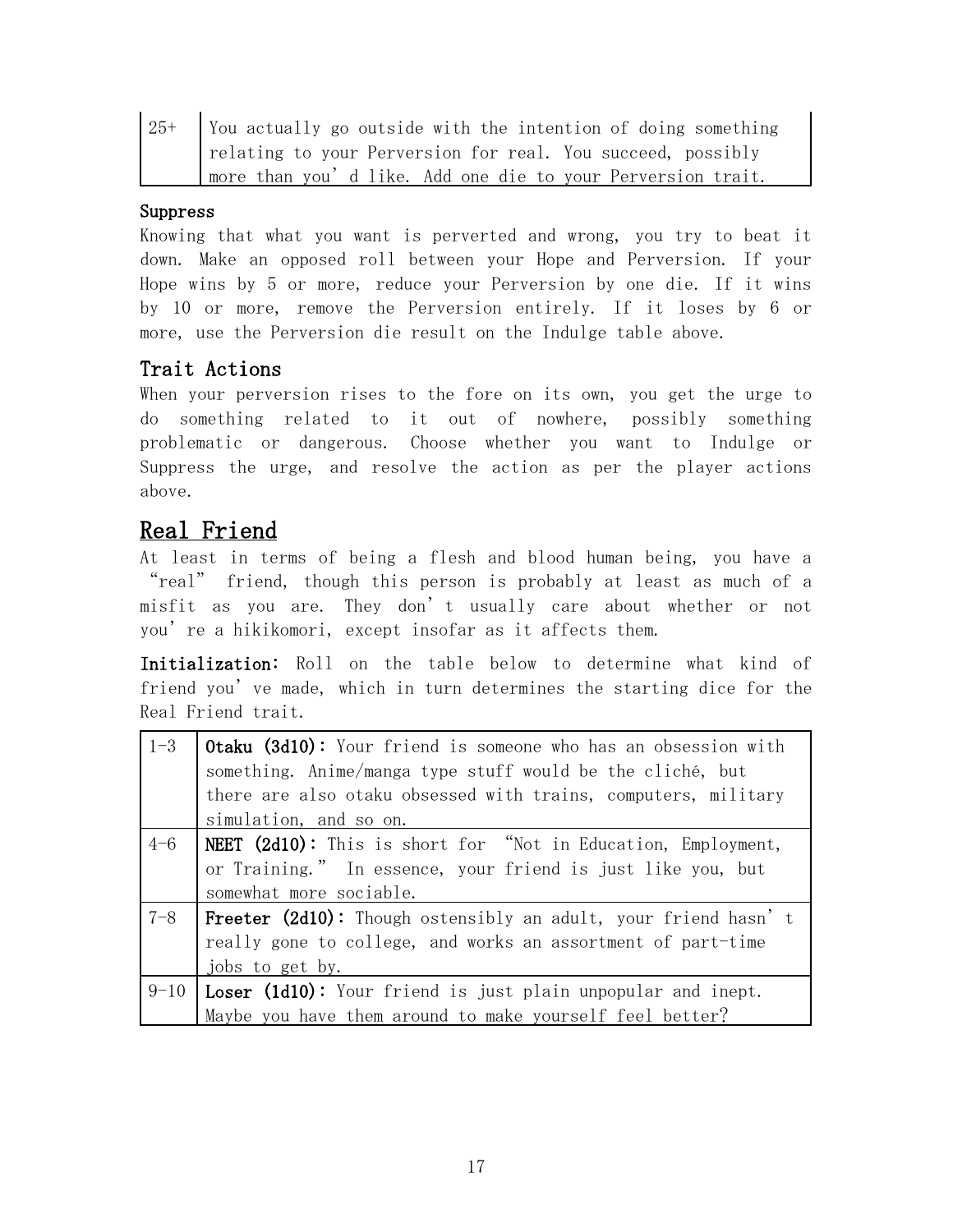| $25+$ | You actually go outside with the intention of doing something |
|-------|---------------------------------------------------------------|
|       | relating to your Perversion for real. You succeed, possibly   |
|       | more than you'd like. Add one die to your Perversion trait.   |

#### Suppress

Knowing that what you want is perverted and wrong, you try to beat it down. Make an opposed roll between your Hope and Perversion. If your Hope wins by 5 or more, reduce your Perversion by one die. If it wins by 10 or more, remove the Perversion entirely. If it loses by 6 or more, use the Perversion die result on the Indulge table above.

### Trait Actions

When your perversion rises to the fore on its own, you get the urge to do something related to it out of nowhere, possibly something problematic or dangerous. Choose whether you want to Indulge or Suppress the urge, and resolve the action as per the player actions above.

## Real Friend

At least in terms of being a flesh and blood human being, you have a "real" friend, though this person is probably at least as much of a misfit as you are. They don't usually care about whether or not you're a hikikomori, except insofar as it affects them.

Initialization: Roll on the table below to determine what kind of friend you've made, which in turn determines the starting dice for the Real Friend trait.

| $1 - 3$ | Otaku (3d10): Your friend is someone who has an obsession with        |
|---------|-----------------------------------------------------------------------|
|         | something. Anime/manga type stuff would be the cliché, but            |
|         | there are also otaku obsessed with trains, computers, military        |
|         | simulation, and so on.                                                |
| $4 - 6$ | <b>NEET (2d10):</b> This is short for "Not in Education, Employment,  |
|         | or Training." In essence, your friend is just like you, but           |
|         | somewhat more sociable.                                               |
| $7 - 8$ | <b>Freeter (2d10):</b> Though ostensibly an adult, your friend hasn't |
|         | really gone to college, and works an assortment of part-time          |
|         | jobs to get by.                                                       |
|         | $9-10$ Loser (1d10): Your friend is just plain unpopular and inept.   |
|         | Maybe you have them around to make yourself feel better?              |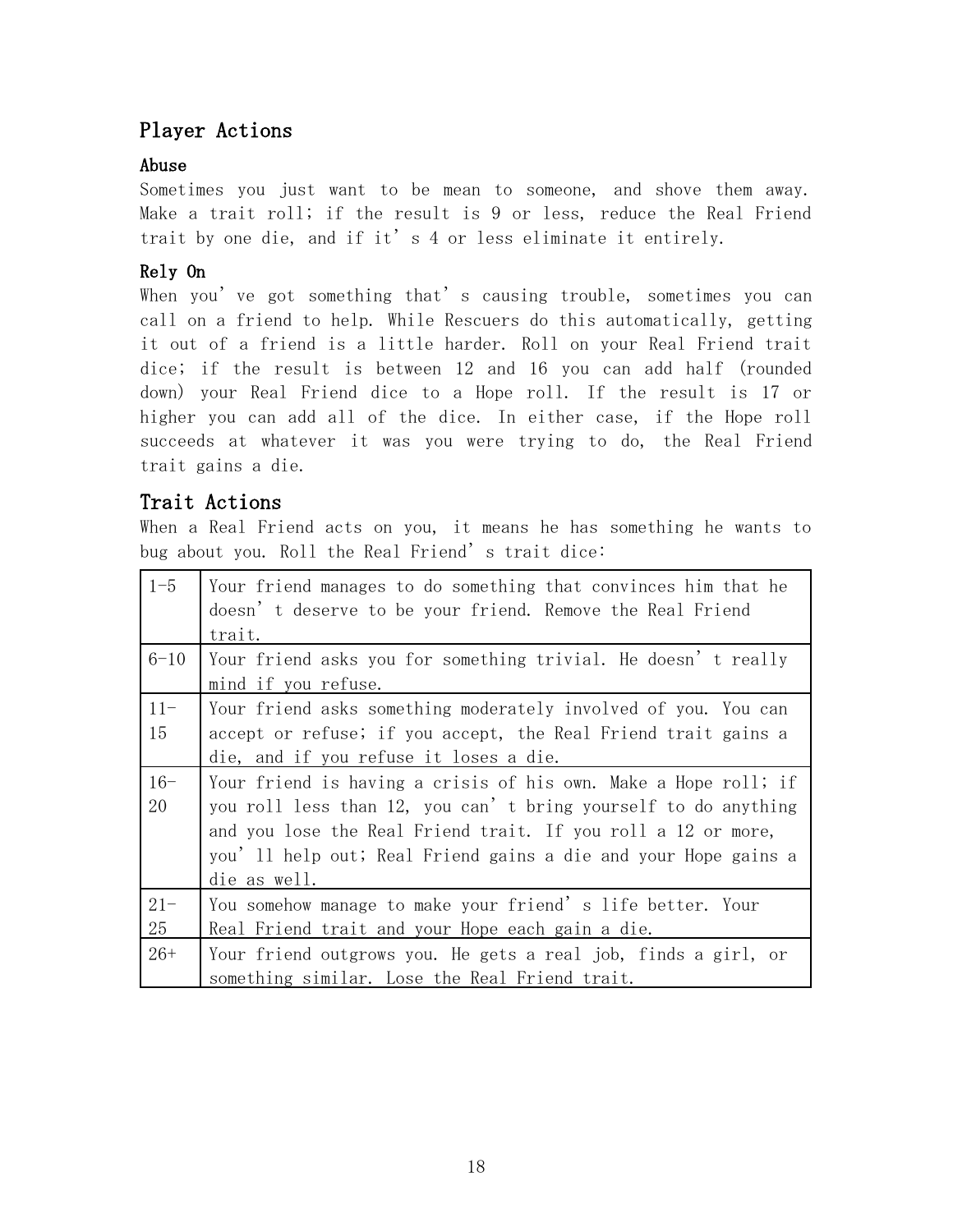## Player Actions

#### Abuse

Sometimes you just want to be mean to someone, and shove them away. Make a trait roll; if the result is 9 or less, reduce the Real Friend trait by one die, and if it's 4 or less eliminate it entirely.

#### Rely On

When you've got something that's causing trouble, sometimes you can call on a friend to help. While Rescuers do this automatically, getting it out of a friend is a little harder. Roll on your Real Friend trait dice; if the result is between 12 and 16 you can add half (rounded down) your Real Friend dice to a Hope roll. If the result is 17 or higher you can add all of the dice. In either case, if the Hope roll succeeds at whatever it was you were trying to do, the Real Friend trait gains a die.

### Trait Actions

When a Real Friend acts on you, it means he has something he wants to bug about you. Roll the Real Friend's trait dice:

| $1 - 5$      | Your friend manages to do something that convinces him that he<br>doesn't deserve to be your friend. Remove the Real Friend<br>trait.                                                                                                                                                 |
|--------------|---------------------------------------------------------------------------------------------------------------------------------------------------------------------------------------------------------------------------------------------------------------------------------------|
| $6 - 10$     | Your friend asks you for something trivial. He doesn't really<br>mind if you refuse.                                                                                                                                                                                                  |
| $11 -$<br>15 | Your friend asks something moderately involved of you. You can<br>accept or refuse; if you accept, the Real Friend trait gains a<br>die, and if you refuse it loses a die.                                                                                                            |
| $16 -$<br>20 | Your friend is having a crisis of his own. Make a Hope roll; if<br>you roll less than 12, you can't bring yourself to do anything<br>and you lose the Real Friend trait. If you roll a 12 or more,<br>you' 11 help out; Real Friend gains a die and your Hope gains a<br>die as well. |
| $21 -$<br>25 | You somehow manage to make your friend's life better. Your<br>Real Friend trait and your Hope each gain a die.                                                                                                                                                                        |
| $26+$        | Your friend outgrows you. He gets a real job, finds a girl, or<br>something similar. Lose the Real Friend trait.                                                                                                                                                                      |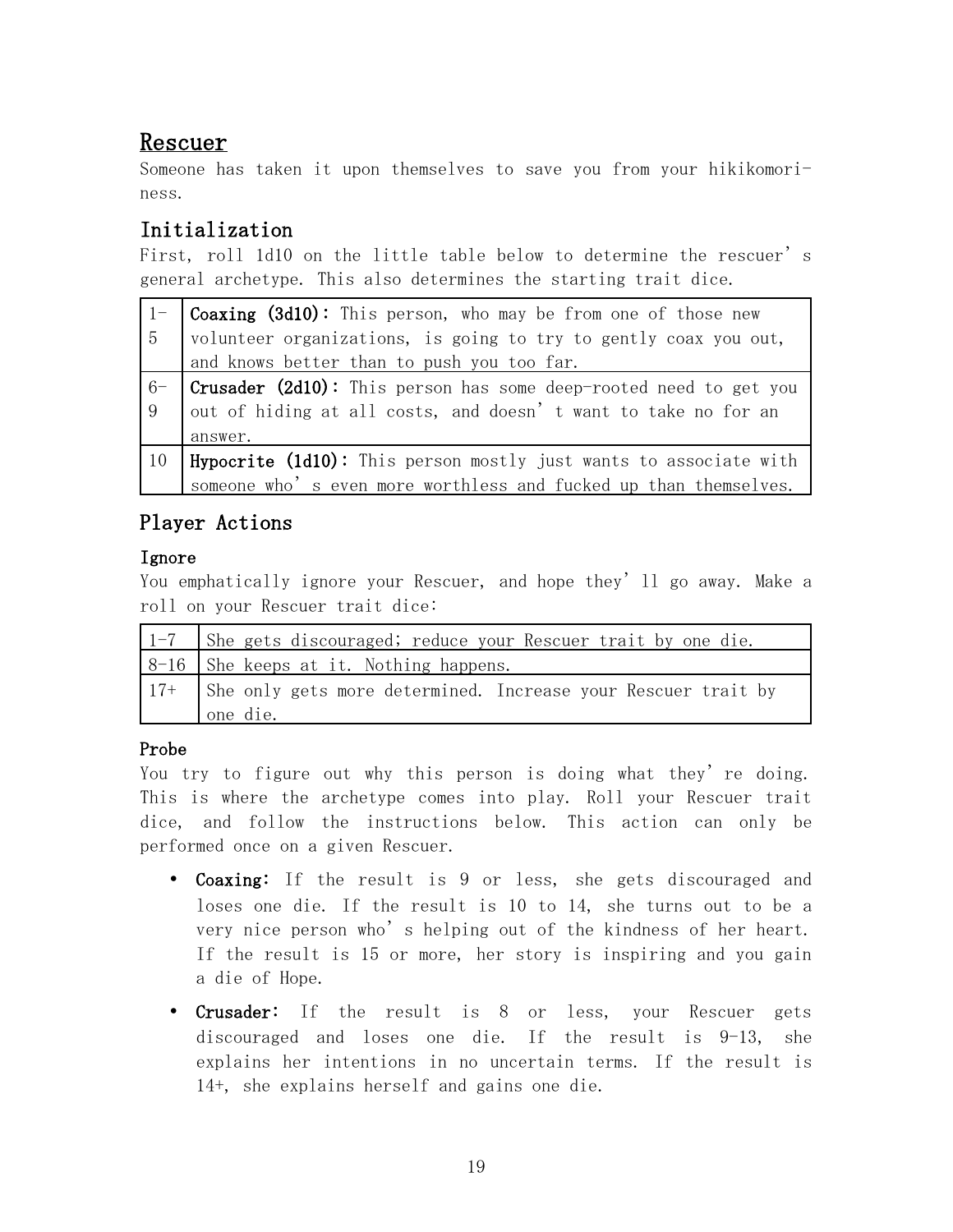## Rescuer

Someone has taken it upon themselves to save you from your hikikomoriness.

### Initialization

First, roll 1d10 on the little table below to determine the rescuer's general archetype. This also determines the starting trait dice.

|              | <b>Coaxing (3d10):</b> This person, who may be from one of those new     |
|--------------|--------------------------------------------------------------------------|
| <sup>5</sup> | volunteer organizations, is going to try to gently coax you out,         |
|              | and knows better than to push you too far.                               |
| $6-$         | <b>Crusader (2d10):</b> This person has some deep-rooted need to get you |
| -9           | out of hiding at all costs, and doesn't want to take no for an           |
|              | answer.                                                                  |
| 10           | Hypocrite (1d10): This person mostly just wants to associate with        |
|              | someone who's even more worthless and fucked up than themselves.         |

## Player Actions

#### Ignore

You emphatically ignore your Rescuer, and hope they'll go away. Make a roll on your Rescuer trait dice:

| 1-7   She gets discouraged; reduce your Rescuer trait by one die.   |
|---------------------------------------------------------------------|
| $ 8-16 $ She keeps at it. Nothing happens.                          |
| 17+   She only gets more determined. Increase your Rescuer trait by |
| one die.                                                            |

#### Probe

You try to figure out why this person is doing what they're doing. This is where the archetype comes into play. Roll your Rescuer trait dice, and follow the instructions below. This action can only be performed once on a given Rescuer.

- Coaxing: If the result is 9 or less, she gets discouraged and loses one die. If the result is 10 to 14, she turns out to be a very nice person who's helping out of the kindness of her heart. If the result is 15 or more, her story is inspiring and you gain a die of Hope.
- Crusader: If the result is 8 or less, your Rescuer gets discouraged and loses one die. If the result is 9-13, she explains her intentions in no uncertain terms. If the result is 14+, she explains herself and gains one die.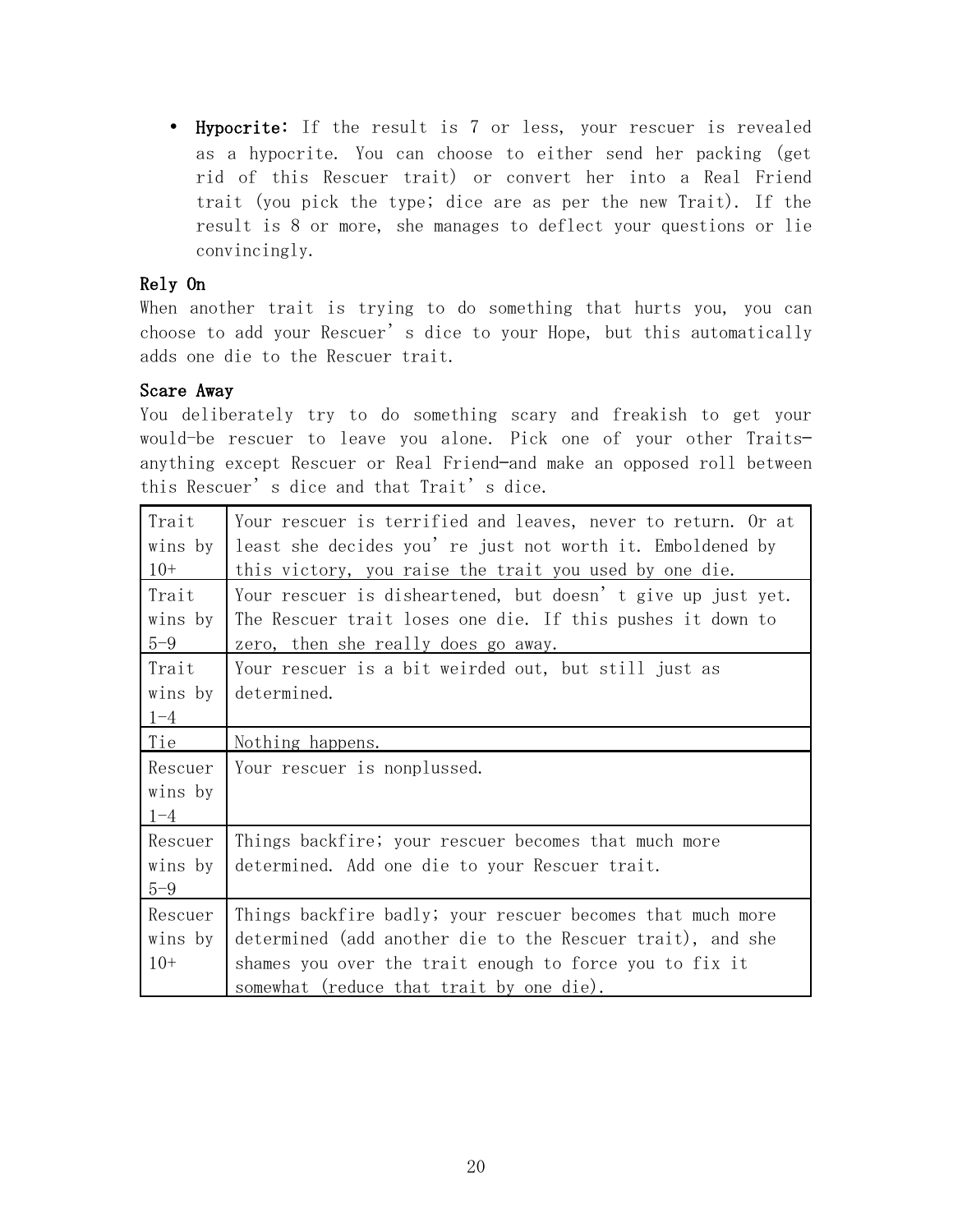• Hypocrite: If the result is 7 or less, your rescuer is revealed as a hypocrite. You can choose to either send her packing (get rid of this Rescuer trait) or convert her into a Real Friend trait (you pick the type; dice are as per the new Trait). If the result is 8 or more, she manages to deflect your questions or lie convincingly.

#### Rely On

When another trait is trying to do something that hurts you, you can choose to add your Rescuer's dice to your Hope, but this automatically adds one die to the Rescuer trait.

#### Scare Away

You deliberately try to do something scary and freakish to get your would-be rescuer to leave you alone. Pick one of your other Traits anything except Rescuer or Real Friend—and make an opposed roll between this Rescuer's dice and that Trait's dice.

| Trait<br>wins by<br>$10+$     | Your rescuer is terrified and leaves, never to return. Or at<br>least she decides you're just not worth it. Emboldened by<br>this victory, you raise the trait you used by one die. |
|-------------------------------|-------------------------------------------------------------------------------------------------------------------------------------------------------------------------------------|
| Trait                         | Your rescuer is disheartened, but doesn't give up just yet.                                                                                                                         |
| wins by                       | The Rescuer trait loses one die. If this pushes it down to                                                                                                                          |
| $5 - 9$                       | zero, then she really does go away.                                                                                                                                                 |
| Trait                         | Your rescuer is a bit weirded out, but still just as                                                                                                                                |
| wins by                       | determined.                                                                                                                                                                         |
| $1 - 4$                       |                                                                                                                                                                                     |
| Tie                           | Nothing happens.                                                                                                                                                                    |
|                               |                                                                                                                                                                                     |
| Rescuer<br>wins by<br>$1 - 4$ | Your rescuer is nonplussed.                                                                                                                                                         |
| Rescuer                       | Things backfire; your rescuer becomes that much more                                                                                                                                |
| wins by                       | determined. Add one die to your Rescuer trait.                                                                                                                                      |
| $5 - 9$                       |                                                                                                                                                                                     |
| Rescuer                       | Things backfire badly; your rescuer becomes that much more                                                                                                                          |
| wins by                       | determined (add another die to the Rescuer trait), and she                                                                                                                          |
| $10+$                         | shames you over the trait enough to force you to fix it                                                                                                                             |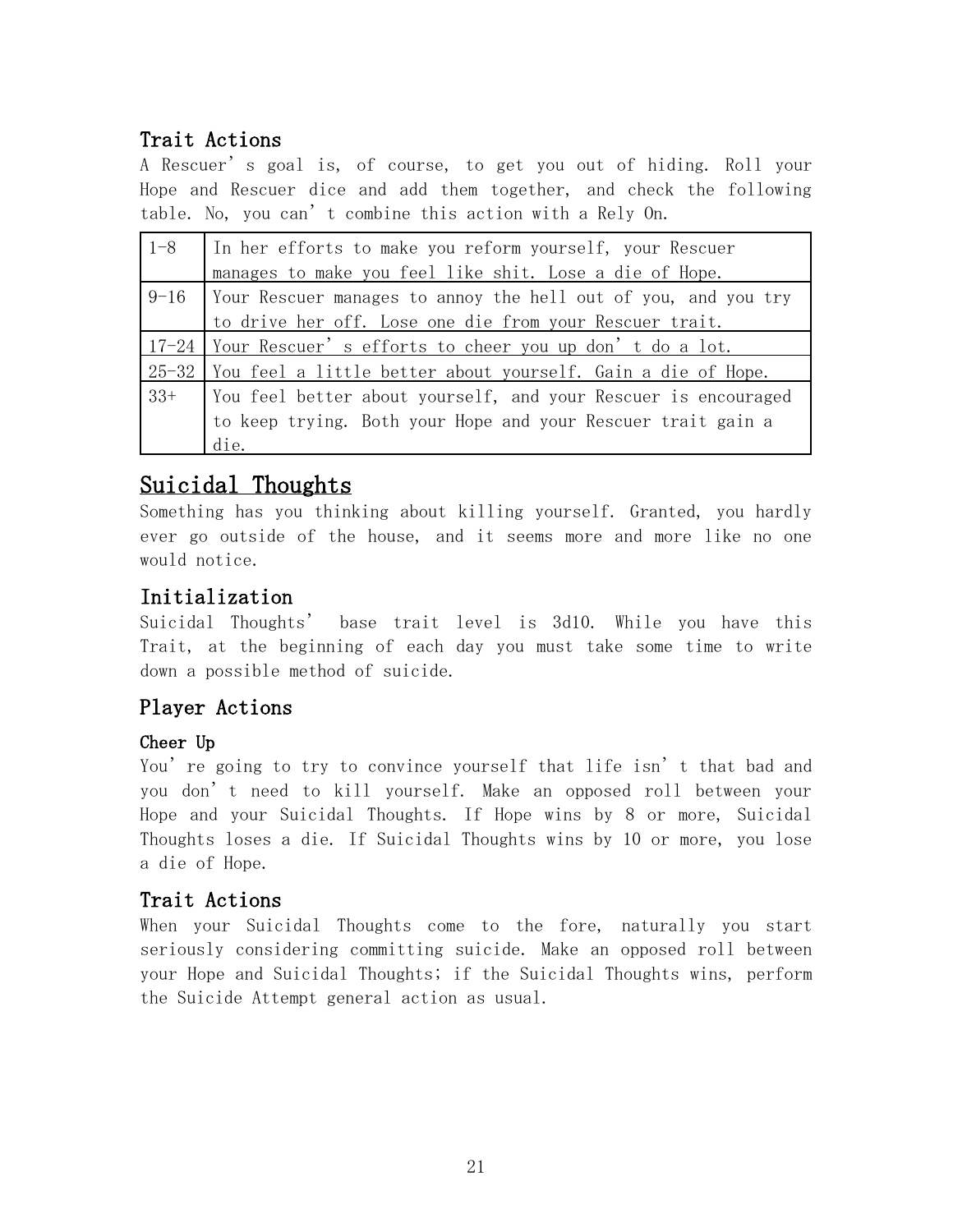## Trait Actions

A Rescuer's goal is, of course, to get you out of hiding. Roll your Hope and Rescuer dice and add them together, and check the following table. No, you can't combine this action with a Rely On.

| $1 - 8$ | In her efforts to make you reform yourself, your Rescuer              |
|---------|-----------------------------------------------------------------------|
|         | manages to make you feel like shit. Lose a die of Hope.               |
|         | $9-16$ Your Rescuer manages to annoy the hell out of you, and you try |
|         | to drive her off. Lose one die from your Rescuer trait.               |
|         | 17-24 Your Rescuer's efforts to cheer you up don't do a lot.          |
|         | 25-32 You feel a little better about yourself. Gain a die of Hope.    |
| $33+$   | Vou feel better about yourself, and your Rescuer is encouraged        |
|         | to keep trying. Both your Hope and your Rescuer trait gain a          |
|         | die.                                                                  |

## Suicidal Thoughts

Something has you thinking about killing yourself. Granted, you hardly ever go outside of the house, and it seems more and more like no one would notice.

### Initialization

Suicidal Thoughts' base trait level is 3d10. While you have this Trait, at the beginning of each day you must take some time to write down a possible method of suicide.

### Player Actions

### Cheer Up

You're going to try to convince yourself that life isn't that bad and you don't need to kill yourself. Make an opposed roll between your Hope and your Suicidal Thoughts. If Hope wins by 8 or more, Suicidal Thoughts loses a die. If Suicidal Thoughts wins by 10 or more, you lose a die of Hope.

### Trait Actions

When your Suicidal Thoughts come to the fore, naturally you start seriously considering committing suicide. Make an opposed roll between your Hope and Suicidal Thoughts; if the Suicidal Thoughts wins, perform the Suicide Attempt general action as usual.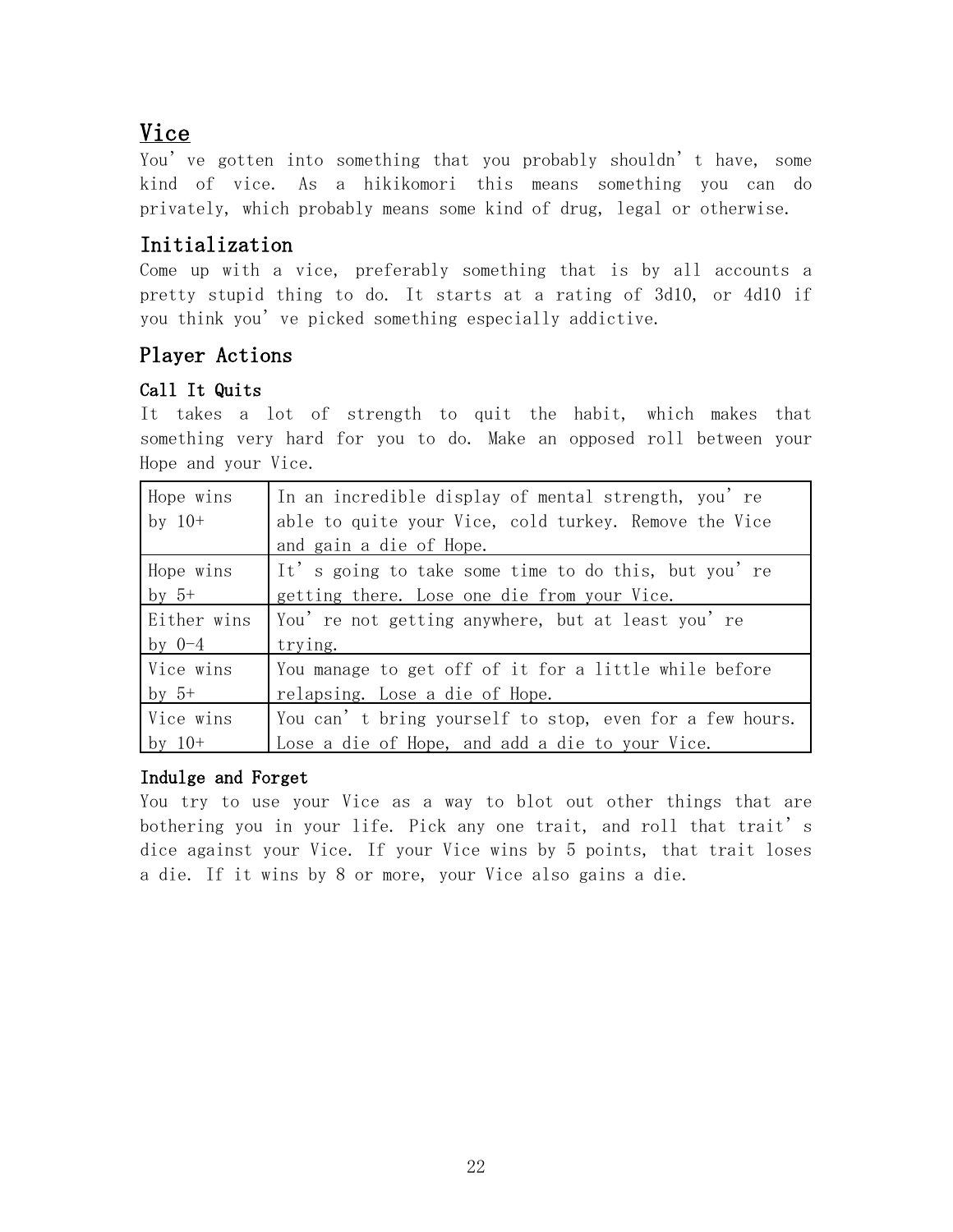## Vice

You've gotten into something that you probably shouldn't have, some kind of vice. As a hikikomori this means something you can do privately, which probably means some kind of drug, legal or otherwise.

### Initialization

Come up with a vice, preferably something that is by all accounts a pretty stupid thing to do. It starts at a rating of 3d10, or 4d10 if you think you've picked something especially addictive.

### Player Actions

#### Call It Quits

It takes a lot of strength to quit the habit, which makes that something very hard for you to do. Make an opposed roll between your Hope and your Vice.

| Hope wins   | In an incredible display of mental strength, you're     |
|-------------|---------------------------------------------------------|
| by $10+$    | able to quite your Vice, cold turkey. Remove the Vice   |
|             | and gain a die of Hope.                                 |
| Hope wins   | It's going to take some time to do this, but you're     |
| by $5^+$    | getting there. Lose one die from your Vice.             |
| Either wins | You're not getting anywhere, but at least you're        |
| by $0-4$    | trying.                                                 |
| Vice wins   | You manage to get off of it for a little while before   |
| $by 5+$     | relapsing. Lose a die of Hope.                          |
| Vice wins   | You can't bring yourself to stop, even for a few hours. |
| by $10+$    | Lose a die of Hope, and add a die to your Vice.         |

#### Indulge and Forget

You try to use your Vice as a way to blot out other things that are bothering you in your life. Pick any one trait, and roll that trait's dice against your Vice. If your Vice wins by 5 points, that trait loses a die. If it wins by 8 or more, your Vice also gains a die.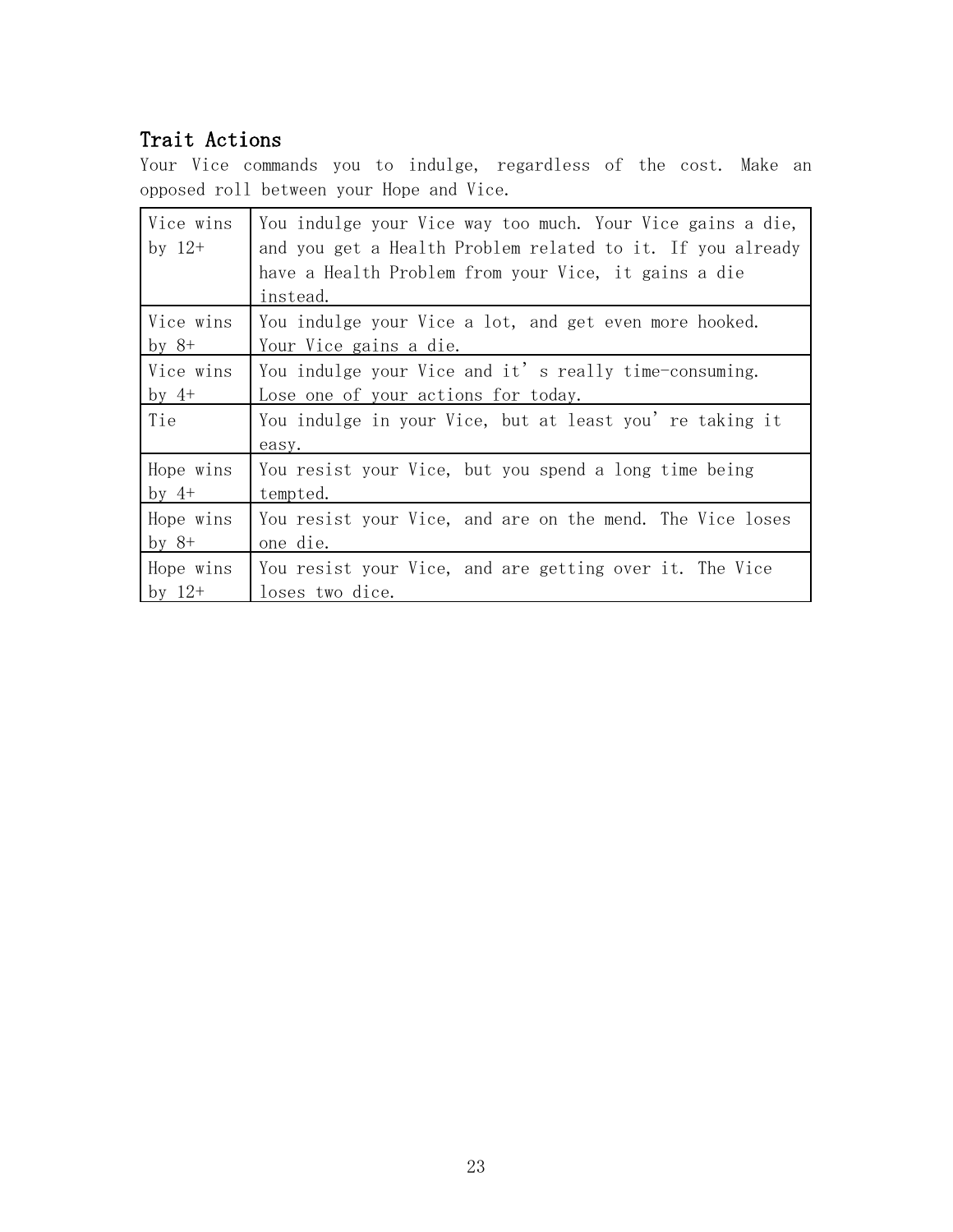## Trait Actions

Your Vice commands you to indulge, regardless of the cost. Make an opposed roll between your Hope and Vice.

| Vice wins<br>by $12+$ | You indulge your Vice way too much. Your Vice gains a die,<br>and you get a Health Problem related to it. If you already<br>have a Health Problem from your Vice, it gains a die<br>instead. |
|-----------------------|----------------------------------------------------------------------------------------------------------------------------------------------------------------------------------------------|
| Vice wins             | You indulge your Vice a lot, and get even more hooked.                                                                                                                                       |
| by $8+$               | Your Vice gains a die.                                                                                                                                                                       |
| Vice wins             | You indulge your Vice and it's really time-consuming.                                                                                                                                        |
| by $4^+$              | Lose one of your actions for today.                                                                                                                                                          |
| Tie                   | You indulge in your Vice, but at least you're taking it<br>easy.                                                                                                                             |
| Hope wins             | You resist your Vice, but you spend a long time being                                                                                                                                        |
| by $4+$               | tempted.                                                                                                                                                                                     |
| Hope wins             | You resist your Vice, and are on the mend. The Vice loses                                                                                                                                    |
| by $8+$               | one die.                                                                                                                                                                                     |
| Hope wins             | You resist your Vice, and are getting over it. The Vice                                                                                                                                      |
| by $12+$              | loses two dice.                                                                                                                                                                              |